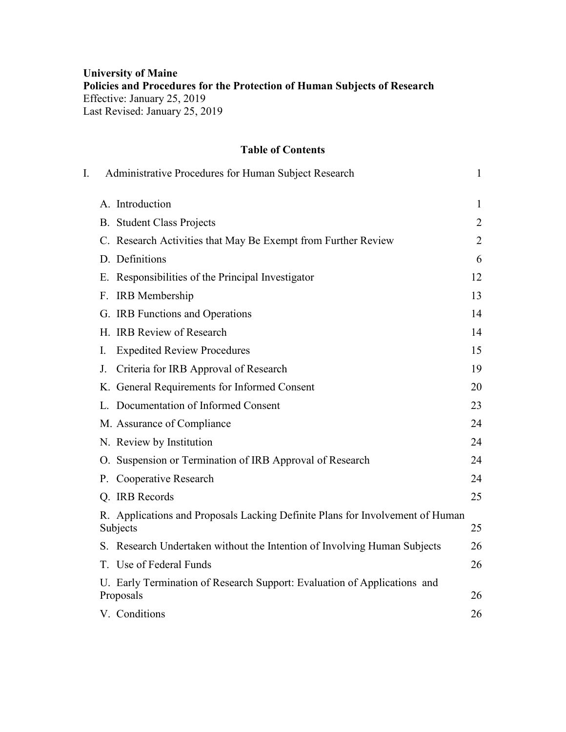**University of Maine Policies and Procedures for the Protection of Human Subjects of Research** Effective: January 25, 2019 Last Revised: January 25, 2019

# **Table of Contents**

| I. | Administrative Procedures for Human Subject Research                                      | $\mathbf{1}$   |
|----|-------------------------------------------------------------------------------------------|----------------|
|    | A. Introduction                                                                           | $\mathbf{1}$   |
|    | <b>B.</b> Student Class Projects                                                          | $\overline{2}$ |
|    | C. Research Activities that May Be Exempt from Further Review                             | $\overline{2}$ |
|    | D. Definitions                                                                            | 6              |
|    | E. Responsibilities of the Principal Investigator                                         | 12             |
|    | F. IRB Membership                                                                         | 13             |
|    | G. IRB Functions and Operations                                                           | 14             |
|    | H. IRB Review of Research                                                                 | 14             |
|    | <b>Expedited Review Procedures</b><br>Ι.                                                  | 15             |
|    | Criteria for IRB Approval of Research<br>J.                                               | 19             |
|    | K. General Requirements for Informed Consent                                              | 20             |
|    | L. Documentation of Informed Consent                                                      | 23             |
|    | M. Assurance of Compliance                                                                | 24             |
|    | N. Review by Institution                                                                  | 24             |
|    | O. Suspension or Termination of IRB Approval of Research                                  | 24             |
|    | P. Cooperative Research                                                                   | 24             |
|    | Q. IRB Records                                                                            | 25             |
|    | R. Applications and Proposals Lacking Definite Plans for Involvement of Human<br>Subjects | 25             |
|    | S. Research Undertaken without the Intention of Involving Human Subjects                  | 26             |
|    | T. Use of Federal Funds                                                                   | 26             |
|    | U. Early Termination of Research Support: Evaluation of Applications and<br>Proposals     | 26             |
|    | V. Conditions                                                                             | 26             |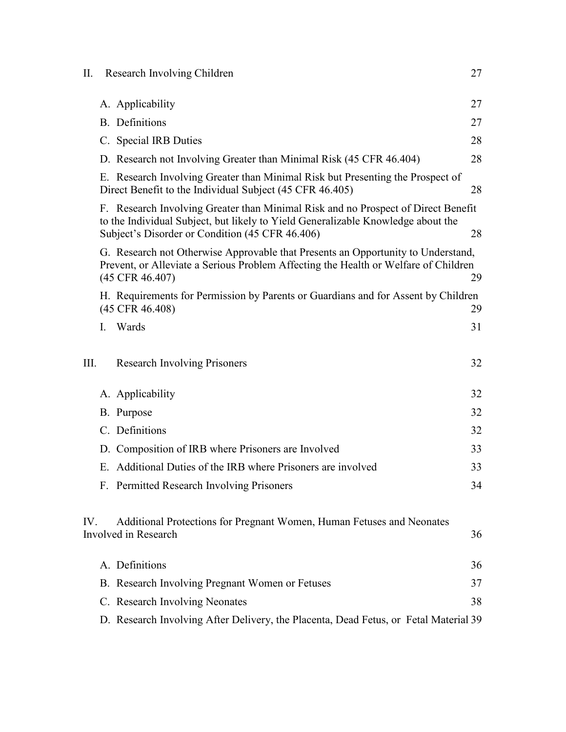| П.  |    | Research Involving Children                                                                                                                                                                                              | 27 |
|-----|----|--------------------------------------------------------------------------------------------------------------------------------------------------------------------------------------------------------------------------|----|
|     |    | A. Applicability                                                                                                                                                                                                         | 27 |
|     |    | <b>B.</b> Definitions                                                                                                                                                                                                    | 27 |
|     |    | C. Special IRB Duties                                                                                                                                                                                                    | 28 |
|     |    | D. Research not Involving Greater than Minimal Risk (45 CFR 46.404)                                                                                                                                                      | 28 |
|     |    | E. Research Involving Greater than Minimal Risk but Presenting the Prospect of<br>Direct Benefit to the Individual Subject (45 CFR 46.405)                                                                               | 28 |
|     |    | F. Research Involving Greater than Minimal Risk and no Prospect of Direct Benefit<br>to the Individual Subject, but likely to Yield Generalizable Knowledge about the<br>Subject's Disorder or Condition (45 CFR 46.406) | 28 |
|     |    | G. Research not Otherwise Approvable that Presents an Opportunity to Understand,<br>Prevent, or Alleviate a Serious Problem Affecting the Health or Welfare of Children<br>(45 CFR 46.407)                               | 29 |
|     |    | H. Requirements for Permission by Parents or Guardians and for Assent by Children<br>$(45$ CFR $46.408)$                                                                                                                 | 29 |
|     | L. | Wards                                                                                                                                                                                                                    | 31 |
| Ш.  |    | <b>Research Involving Prisoners</b>                                                                                                                                                                                      | 32 |
|     |    | A. Applicability                                                                                                                                                                                                         | 32 |
|     |    | B. Purpose                                                                                                                                                                                                               | 32 |
|     |    | C. Definitions                                                                                                                                                                                                           | 32 |
|     |    | D. Composition of IRB where Prisoners are Involved                                                                                                                                                                       | 33 |
|     |    | E. Additional Duties of the IRB where Prisoners are involved                                                                                                                                                             | 33 |
|     |    | F. Permitted Research Involving Prisoners                                                                                                                                                                                | 34 |
| IV. |    | Additional Protections for Pregnant Women, Human Fetuses and Neonates<br>Involved in Research                                                                                                                            | 36 |
|     |    | A. Definitions                                                                                                                                                                                                           | 36 |
|     |    | B. Research Involving Pregnant Women or Fetuses                                                                                                                                                                          | 37 |
|     |    | C. Research Involving Neonates                                                                                                                                                                                           | 38 |
|     |    | D. Research Involving After Delivery, the Placenta, Dead Fetus, or Fetal Material 39                                                                                                                                     |    |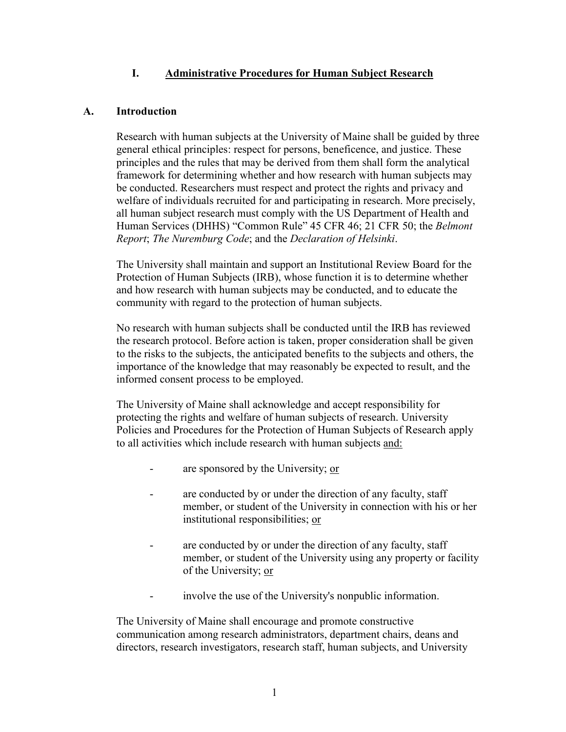#### **I. Administrative Procedures for Human Subject Research**

#### <span id="page-2-1"></span><span id="page-2-0"></span>**A. Introduction**

Research with human subjects at the University of Maine shall be guided by three general ethical principles: respect for persons, beneficence, and justice. These principles and the rules that may be derived from them shall form the analytical framework for determining whether and how research with human subjects may be conducted. Researchers must respect and protect the rights and privacy and welfare of individuals recruited for and participating in research. More precisely, all human subject research must comply with the US Department of Health and Human Services (DHHS) "Common Rule" 45 CFR 46; 21 CFR 50; the *Belmont Report*; *The Nuremburg Code*; and the *Declaration of Helsinki*.

The University shall maintain and support an Institutional Review Board for the Protection of Human Subjects (IRB), whose function it is to determine whether and how research with human subjects may be conducted, and to educate the community with regard to the protection of human subjects.

No research with human subjects shall be conducted until the IRB has reviewed the research protocol. Before action is taken, proper consideration shall be given to the risks to the subjects, the anticipated benefits to the subjects and others, the importance of the knowledge that may reasonably be expected to result, and the informed consent process to be employed.

The University of Maine shall acknowledge and accept responsibility for protecting the rights and welfare of human subjects of research. University Policies and Procedures for the Protection of Human Subjects of Research apply to all activities which include research with human subjects and:

- are sponsored by the University; or
- are conducted by or under the direction of any faculty, staff member, or student of the University in connection with his or her institutional responsibilities; or
- are conducted by or under the direction of any faculty, staff member, or student of the University using any property or facility of the University; or
- involve the use of the University's nonpublic information.

The University of Maine shall encourage and promote constructive communication among research administrators, department chairs, deans and directors, research investigators, research staff, human subjects, and University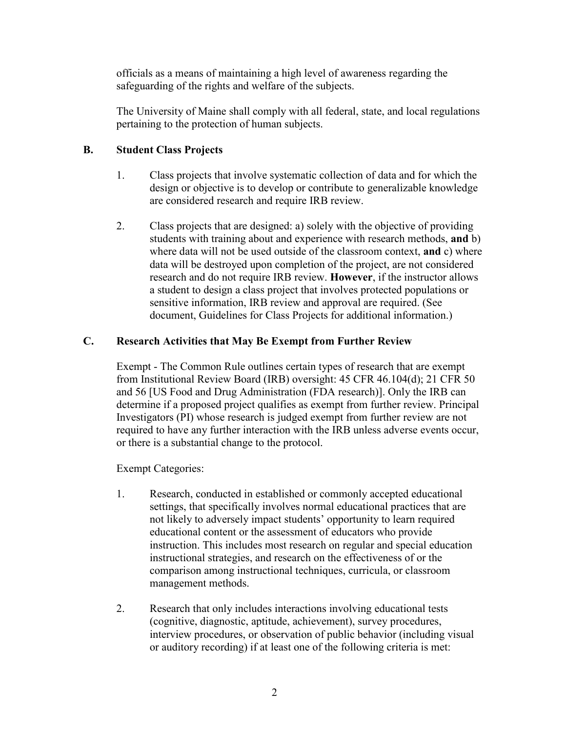officials as a means of maintaining a high level of awareness regarding the safeguarding of the rights and welfare of the subjects.

The University of Maine shall comply with all federal, state, and local regulations pertaining to the protection of human subjects.

# <span id="page-3-0"></span>**B. Student Class Projects**

- 1. Class projects that involve systematic collection of data and for which the design or objective is to develop or contribute to generalizable knowledge are considered research and require IRB review.
- 2. Class projects that are designed: a) solely with the objective of providing students with training about and experience with research methods, **and** b) where data will not be used outside of the classroom context, **and** c) where data will be destroyed upon completion of the project, are not considered research and do not require IRB review. **However**, if the instructor allows a student to design a class project that involves protected populations or sensitive information, IRB review and approval are required. (See document, Guidelines for Class Projects for additional information.)

# <span id="page-3-1"></span>**C. Research Activities that May Be Exempt from Further Review**

Exempt - The Common Rule outlines certain types of research that are exempt from Institutional Review Board (IRB) oversight: 45 CFR 46.104(d); 21 CFR 50 and 56 [US Food and Drug Administration (FDA research)]. Only the IRB can determine if a proposed project qualifies as exempt from further review. Principal Investigators (PI) whose research is judged exempt from further review are not required to have any further interaction with the IRB unless adverse events occur, or there is a substantial change to the protocol.

Exempt Categories:

- 1. Research, conducted in established or commonly accepted educational settings, that specifically involves normal educational practices that are not likely to adversely impact students' opportunity to learn required educational content or the assessment of educators who provide instruction. This includes most research on regular and special education instructional strategies, and research on the effectiveness of or the comparison among instructional techniques, curricula, or classroom management methods.
- 2. Research that only includes interactions involving educational tests (cognitive, diagnostic, aptitude, achievement), survey procedures, interview procedures, or observation of public behavior (including visual or auditory recording) if at least one of the following criteria is met: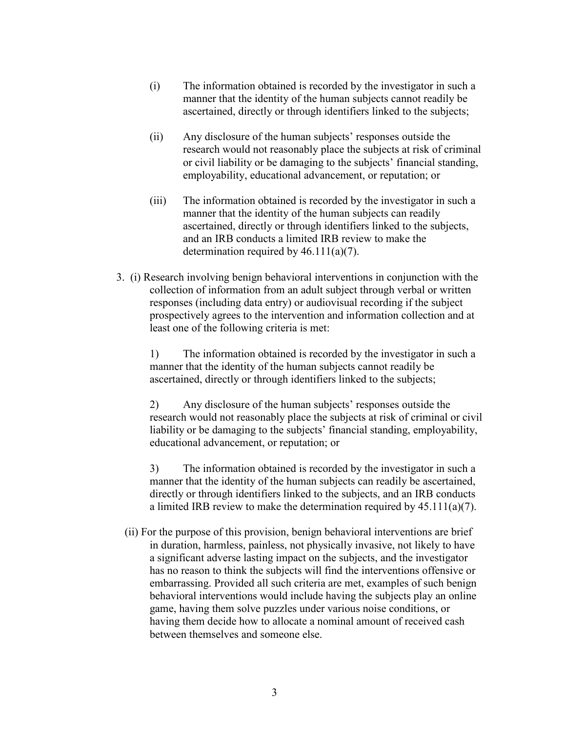- (i) The information obtained is recorded by the investigator in such a manner that the identity of the human subjects cannot readily be ascertained, directly or through identifiers linked to the subjects;
- (ii) Any disclosure of the human subjects' responses outside the research would not reasonably place the subjects at risk of criminal or civil liability or be damaging to the subjects' financial standing, employability, educational advancement, or reputation; or
- (iii) The information obtained is recorded by the investigator in such a manner that the identity of the human subjects can readily ascertained, directly or through identifiers linked to the subjects, and an IRB conducts a limited IRB review to make the determination required by  $46.111(a)(7)$ .
- 3. (i) Research involving benign behavioral interventions in conjunction with the collection of information from an adult subject through verbal or written responses (including data entry) or audiovisual recording if the subject prospectively agrees to the intervention and information collection and at least one of the following criteria is met:

1) The information obtained is recorded by the investigator in such a manner that the identity of the human subjects cannot readily be ascertained, directly or through identifiers linked to the subjects;

2) Any disclosure of the human subjects' responses outside the research would not reasonably place the subjects at risk of criminal or civil liability or be damaging to the subjects' financial standing, employability, educational advancement, or reputation; or

3) The information obtained is recorded by the investigator in such a manner that the identity of the human subjects can readily be ascertained, directly or through identifiers linked to the subjects, and an IRB conducts a limited IRB review to make the determination required by 45.111(a)(7).

 (ii) For the purpose of this provision, benign behavioral interventions are brief in duration, harmless, painless, not physically invasive, not likely to have a significant adverse lasting impact on the subjects, and the investigator has no reason to think the subjects will find the interventions offensive or embarrassing. Provided all such criteria are met, examples of such benign behavioral interventions would include having the subjects play an online game, having them solve puzzles under various noise conditions, or having them decide how to allocate a nominal amount of received cash between themselves and someone else.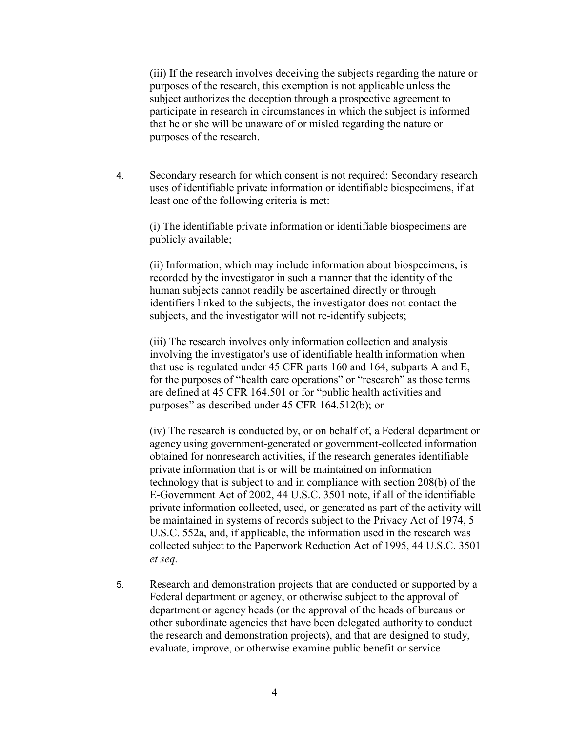(iii) If the research involves deceiving the subjects regarding the nature or purposes of the research, this exemption is not applicable unless the subject authorizes the deception through a prospective agreement to participate in research in circumstances in which the subject is informed that he or she will be unaware of or misled regarding the nature or purposes of the research.

4. Secondary research for which consent is not required: Secondary research uses of identifiable private information or identifiable biospecimens, if at least one of the following criteria is met:

(i) The identifiable private information or identifiable biospecimens are publicly available;

(ii) Information, which may include information about biospecimens, is recorded by the investigator in such a manner that the identity of the human subjects cannot readily be ascertained directly or through identifiers linked to the subjects, the investigator does not contact the subjects, and the investigator will not re-identify subjects;

(iii) The research involves only information collection and analysis involving the investigator's use of identifiable health information when that use is regulated under 45 CFR parts 160 and 164, subparts A and E, for the purposes of "health care operations" or "research" as those terms are defined at 45 CFR 164.501 or for "public health activities and purposes" as described under 45 CFR 164.512(b); or

(iv) The research is conducted by, or on behalf of, a Federal department or agency using government-generated or government-collected information obtained for nonresearch activities, if the research generates identifiable private information that is or will be maintained on information technology that is subject to and in compliance with section 208(b) of the E-Government Act of 2002, 44 U.S.C. 3501 note, if all of the identifiable private information collected, used, or generated as part of the activity will be maintained in systems of records subject to the Privacy Act of 1974, 5 U.S.C. 552a, and, if applicable, the information used in the research was collected subject to the Paperwork Reduction Act of 1995, 44 U.S.C. 3501 *et seq.*

5. Research and demonstration projects that are conducted or supported by a Federal department or agency, or otherwise subject to the approval of department or agency heads (or the approval of the heads of bureaus or other subordinate agencies that have been delegated authority to conduct the research and demonstration projects), and that are designed to study, evaluate, improve, or otherwise examine public benefit or service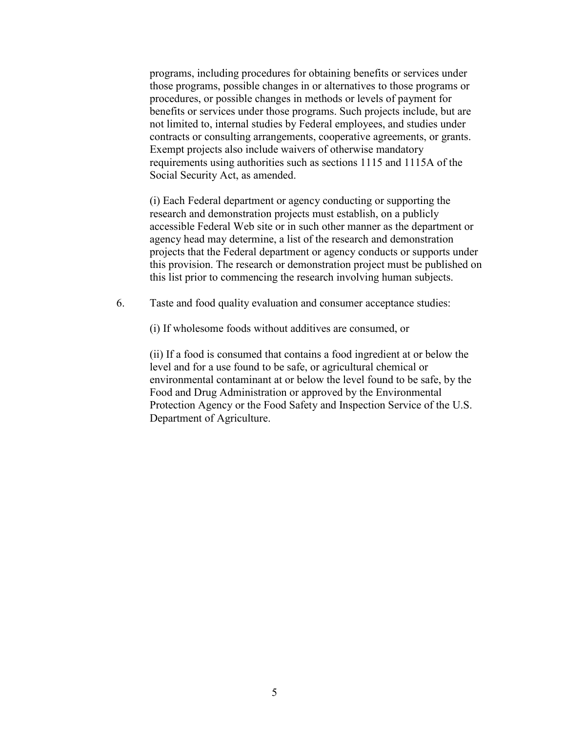programs, including procedures for obtaining benefits or services under those programs, possible changes in or alternatives to those programs or procedures, or possible changes in methods or levels of payment for benefits or services under those programs. Such projects include, but are not limited to, internal studies by Federal employees, and studies under contracts or consulting arrangements, cooperative agreements, or grants. Exempt projects also include waivers of otherwise mandatory requirements using authorities such as sections 1115 and 1115A of the Social Security Act, as amended.

(i) Each Federal department or agency conducting or supporting the research and demonstration projects must establish, on a publicly accessible Federal Web site or in such other manner as the department or agency head may determine, a list of the research and demonstration projects that the Federal department or agency conducts or supports under this provision. The research or demonstration project must be published on this list prior to commencing the research involving human subjects.

6. Taste and food quality evaluation and consumer acceptance studies:

(i) If wholesome foods without additives are consumed, or

(ii) If a food is consumed that contains a food ingredient at or below the level and for a use found to be safe, or agricultural chemical or environmental contaminant at or below the level found to be safe, by the Food and Drug Administration or approved by the Environmental Protection Agency or the Food Safety and Inspection Service of the U.S. Department of Agriculture.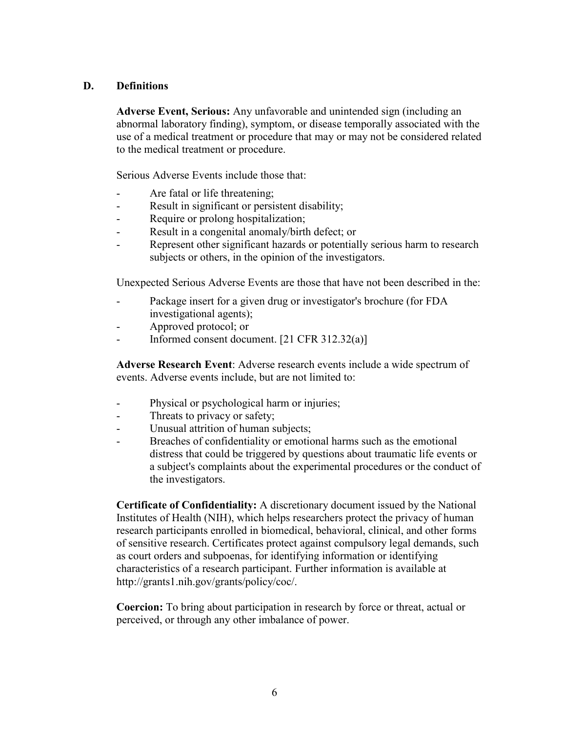#### <span id="page-7-0"></span>**D. Definitions**

**Adverse Event, Serious:** Any unfavorable and unintended sign (including an abnormal laboratory finding), symptom, or disease temporally associated with the use of a medical treatment or procedure that may or may not be considered related to the medical treatment or procedure.

Serious Adverse Events include those that:

- Are fatal or life threatening;
- Result in significant or persistent disability;
- Require or prolong hospitalization;
- Result in a congenital anomaly/birth defect; or
- Represent other significant hazards or potentially serious harm to research subjects or others, in the opinion of the investigators.

Unexpected Serious Adverse Events are those that have not been described in the:

- Package insert for a given drug or investigator's brochure (for FDA investigational agents);
- Approved protocol; or
- Informed consent document.  $[21 \text{ CFR } 312.32(a)]$

**Adverse Research Event**: Adverse research events include a wide spectrum of events. Adverse events include, but are not limited to:

- Physical or psychological harm or injuries;
- Threats to privacy or safety;
- Unusual attrition of human subjects;
- Breaches of confidentiality or emotional harms such as the emotional distress that could be triggered by questions about traumatic life events or a subject's complaints about the experimental procedures or the conduct of the investigators.

**Certificate of Confidentiality:** A discretionary document issued by the National Institutes of Health (NIH), which helps researchers protect the privacy of human research participants enrolled in biomedical, behavioral, clinical, and other forms of sensitive research. Certificates protect against compulsory legal demands, such as court orders and subpoenas, for identifying information or identifying characteristics of a research participant. Further information is available at http://grants1.nih.gov/grants/policy/coc/.

**Coercion:** To bring about participation in research by force or threat, actual or perceived, or through any other imbalance of power.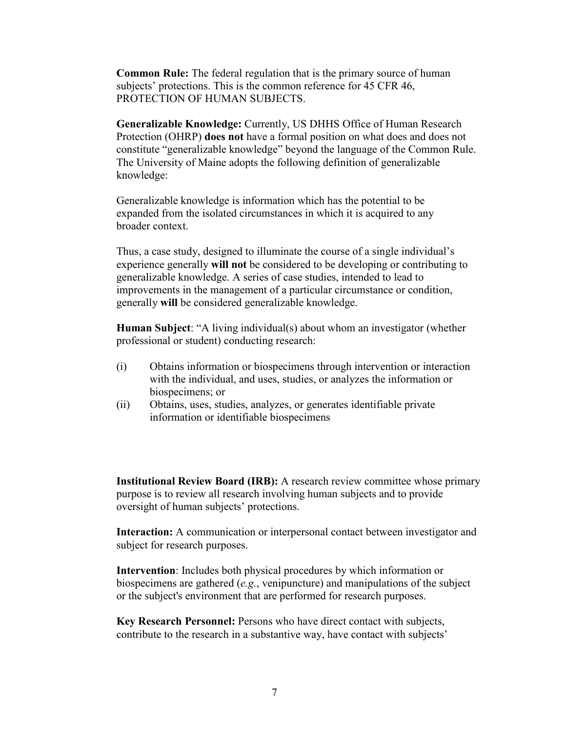**Common Rule:** The federal regulation that is the primary source of human subjects' protections. This is the common reference for 45 CFR 46, PROTECTION OF HUMAN SUBJECTS.

**Generalizable Knowledge:** Currently, US DHHS Office of Human Research Protection (OHRP) **does not** have a formal position on what does and does not constitute "generalizable knowledge" beyond the language of the Common Rule. The University of Maine adopts the following definition of generalizable knowledge:

Generalizable knowledge is information which has the potential to be expanded from the isolated circumstances in which it is acquired to any broader context.

Thus, a case study, designed to illuminate the course of a single individual's experience generally **will not** be considered to be developing or contributing to generalizable knowledge. A series of case studies, intended to lead to improvements in the management of a particular circumstance or condition, generally **will** be considered generalizable knowledge.

**Human Subject**: "A living individual(s) about whom an investigator (whether professional or student) conducting research:

- (i) Obtains information or biospecimens through intervention or interaction with the individual, and uses, studies, or analyzes the information or biospecimens; or
- (ii) Obtains, uses, studies, analyzes, or generates identifiable private information or identifiable biospecimens

**Institutional Review Board (IRB):** A research review committee whose primary purpose is to review all research involving human subjects and to provide oversight of human subjects' protections.

**Interaction:** A communication or interpersonal contact between investigator and subject for research purposes.

**Intervention**: Includes both physical procedures by which information or biospecimens are gathered (*e.g.*, venipuncture) and manipulations of the subject or the subject's environment that are performed for research purposes.

**Key Research Personnel:** Persons who have direct contact with subjects, contribute to the research in a substantive way, have contact with subjects'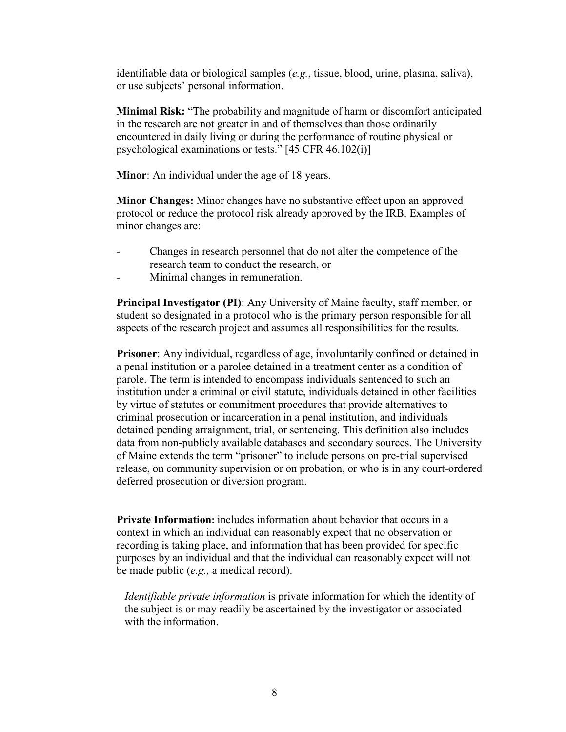identifiable data or biological samples (*e.g.*, tissue, blood, urine, plasma, saliva), or use subjects' personal information.

**Minimal Risk:** "The probability and magnitude of harm or discomfort anticipated in the research are not greater in and of themselves than those ordinarily encountered in daily living or during the performance of routine physical or psychological examinations or tests." [45 CFR 46.102(i)]

**Minor**: An individual under the age of 18 years.

**Minor Changes:** Minor changes have no substantive effect upon an approved protocol or reduce the protocol risk already approved by the IRB. Examples of minor changes are:

- Changes in research personnel that do not alter the competence of the research team to conduct the research, or
- Minimal changes in remuneration.

**Principal Investigator (PI)**: Any University of Maine faculty, staff member, or student so designated in a protocol who is the primary person responsible for all aspects of the research project and assumes all responsibilities for the results.

**Prisoner**: Any individual, regardless of age, involuntarily confined or detained in a penal institution or a parolee detained in a treatment center as a condition of parole. The term is intended to encompass individuals sentenced to such an institution under a criminal or civil statute, individuals detained in other facilities by virtue of statutes or commitment procedures that provide alternatives to criminal prosecution or incarceration in a penal institution, and individuals detained pending arraignment, trial, or sentencing. This definition also includes data from non-publicly available databases and secondary sources. The University of Maine extends the term "prisoner" to include persons on pre-trial supervised release, on community supervision or on probation, or who is in any court-ordered deferred prosecution or diversion program.

**Private Information:** includes information about behavior that occurs in a context in which an individual can reasonably expect that no observation or recording is taking place, and information that has been provided for specific purposes by an individual and that the individual can reasonably expect will not be made public (*e.g.,* a medical record).

*Identifiable private information* is private information for which the identity of the subject is or may readily be ascertained by the investigator or associated with the information.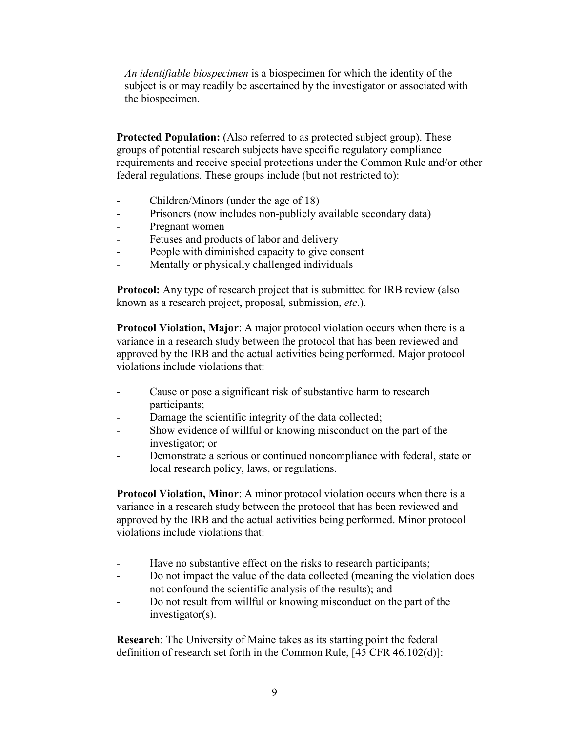*An identifiable biospecimen* is a biospecimen for which the identity of the subject is or may readily be ascertained by the investigator or associated with the biospecimen.

**Protected Population:** (Also referred to as protected subject group). These groups of potential research subjects have specific regulatory compliance requirements and receive special protections under the Common Rule and/or other federal regulations. These groups include (but not restricted to):

- Children/Minors (under the age of 18)
- Prisoners (now includes non-publicly available secondary data)
- Pregnant women
- Fetuses and products of labor and delivery
- People with diminished capacity to give consent
- Mentally or physically challenged individuals

**Protocol:** Any type of research project that is submitted for IRB review (also known as a research project, proposal, submission, *etc*.).

**Protocol Violation, Major**: A major protocol violation occurs when there is a variance in a research study between the protocol that has been reviewed and approved by the IRB and the actual activities being performed. Major protocol violations include violations that:

- Cause or pose a significant risk of substantive harm to research participants;
- Damage the scientific integrity of the data collected;
- Show evidence of willful or knowing misconduct on the part of the investigator; or
- Demonstrate a serious or continued noncompliance with federal, state or local research policy, laws, or regulations.

**Protocol Violation, Minor**: A minor protocol violation occurs when there is a variance in a research study between the protocol that has been reviewed and approved by the IRB and the actual activities being performed. Minor protocol violations include violations that:

- Have no substantive effect on the risks to research participants;
- Do not impact the value of the data collected (meaning the violation does not confound the scientific analysis of the results); and
- Do not result from willful or knowing misconduct on the part of the investigator(s).

**Research**: The University of Maine takes as its starting point the federal definition of research set forth in the Common Rule, [45 CFR 46.102(d)]: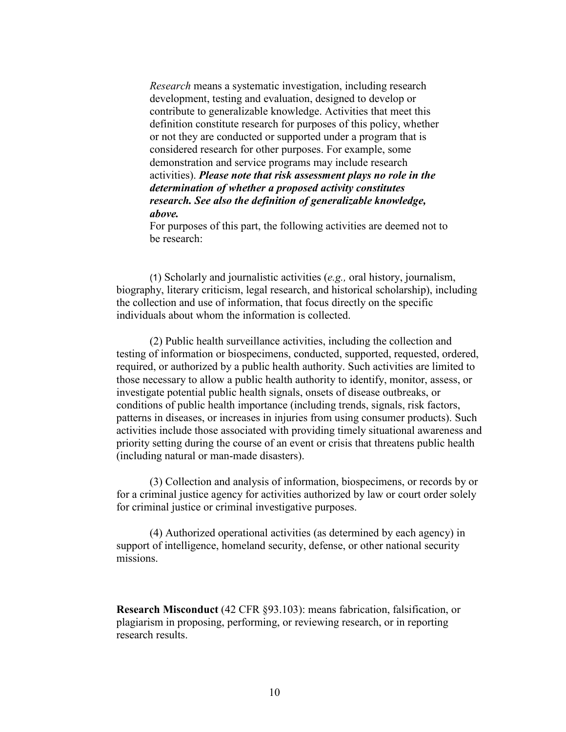*Research* means a systematic investigation, including research development, testing and evaluation, designed to develop or contribute to generalizable knowledge. Activities that meet this definition constitute research for purposes of this policy, whether or not they are conducted or supported under a program that is considered research for other purposes. For example, some demonstration and service programs may include research activities). *Please note that risk assessment plays no role in the determination of whether a proposed activity constitutes research. See also the definition of generalizable knowledge, above.*

For purposes of this part, the following activities are deemed not to be research:

(1) Scholarly and journalistic activities (*e.g.,* oral history, journalism, biography, literary criticism, legal research, and historical scholarship), including the collection and use of information, that focus directly on the specific individuals about whom the information is collected.

(2) Public health surveillance activities, including the collection and testing of information or biospecimens, conducted, supported, requested, ordered, required, or authorized by a public health authority. Such activities are limited to those necessary to allow a public health authority to identify, monitor, assess, or investigate potential public health signals, onsets of disease outbreaks, or conditions of public health importance (including trends, signals, risk factors, patterns in diseases, or increases in injuries from using consumer products). Such activities include those associated with providing timely situational awareness and priority setting during the course of an event or crisis that threatens public health (including natural or man-made disasters).

(3) Collection and analysis of information, biospecimens, or records by or for a criminal justice agency for activities authorized by law or court order solely for criminal justice or criminal investigative purposes.

(4) Authorized operational activities (as determined by each agency) in support of intelligence, homeland security, defense, or other national security missions.

**Research Misconduct** (42 CFR §93.103): means fabrication, falsification, or plagiarism in proposing, performing, or reviewing research, or in reporting research results.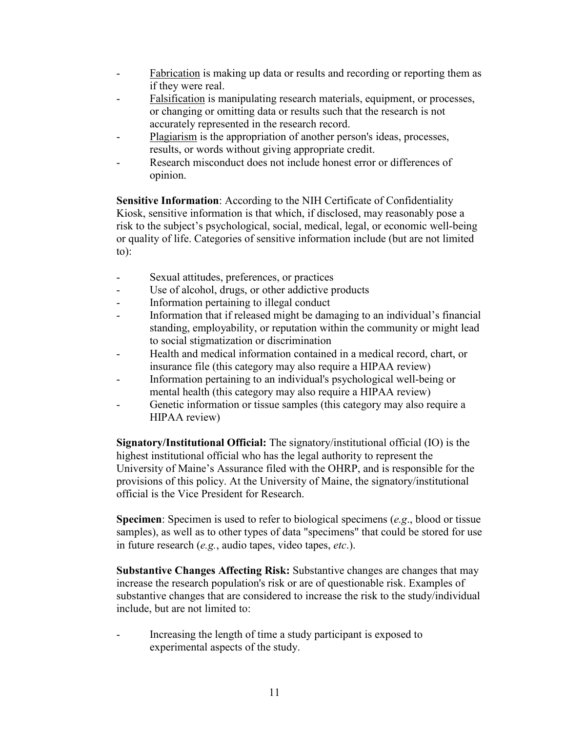- Fabrication is making up data or results and recording or reporting them as if they were real.
- Falsification is manipulating research materials, equipment, or processes, or changing or omitting data or results such that the research is not accurately represented in the research record.
- Plagiarism is the appropriation of another person's ideas, processes, results, or words without giving appropriate credit.
- Research misconduct does not include honest error or differences of opinion.

**Sensitive Information**: According to the NIH Certificate of Confidentiality Kiosk, sensitive information is that which, if disclosed, may reasonably pose a risk to the subject's psychological, social, medical, legal, or economic well-being or quality of life. Categories of sensitive information include (but are not limited to):

- Sexual attitudes, preferences, or practices
- Use of alcohol, drugs, or other addictive products
- Information pertaining to illegal conduct
- Information that if released might be damaging to an individual's financial standing, employability, or reputation within the community or might lead to social stigmatization or discrimination
- Health and medical information contained in a medical record, chart, or insurance file (this category may also require a HIPAA review)
- Information pertaining to an individual's psychological well-being or mental health (this category may also require a HIPAA review)
- Genetic information or tissue samples (this category may also require a HIPAA review)

**Signatory/Institutional Official:** The signatory/institutional official (IO) is the highest institutional official who has the legal authority to represent the University of Maine's Assurance filed with the OHRP, and is responsible for the provisions of this policy. At the University of Maine, the signatory/institutional official is the Vice President for Research.

**Specimen**: Specimen is used to refer to biological specimens (*e.g*., blood or tissue samples), as well as to other types of data "specimens" that could be stored for use in future research (*e.g.*, audio tapes, video tapes, *etc*.).

**Substantive Changes Affecting Risk:** Substantive changes are changes that may increase the research population's risk or are of questionable risk. Examples of substantive changes that are considered to increase the risk to the study/individual include, but are not limited to:

Increasing the length of time a study participant is exposed to experimental aspects of the study.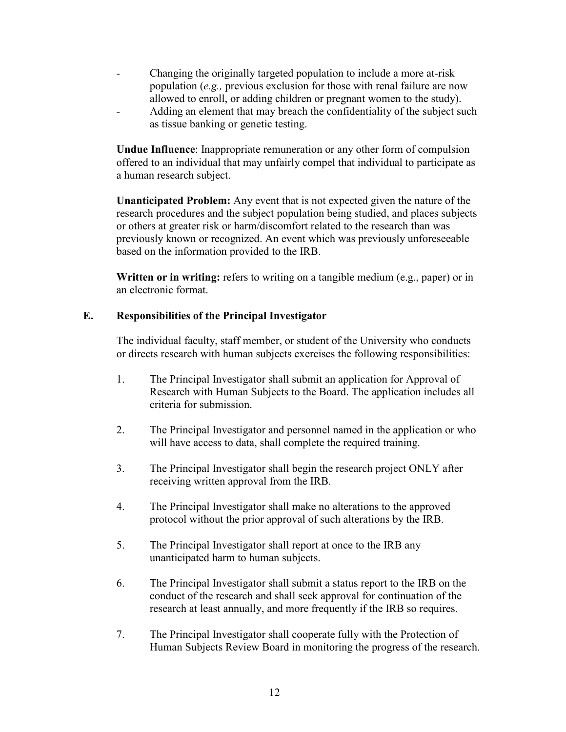- Changing the originally targeted population to include a more at-risk population (*e.g.,* previous exclusion for those with renal failure are now allowed to enroll, or adding children or pregnant women to the study).
- Adding an element that may breach the confidentiality of the subject such as tissue banking or genetic testing.

**Undue Influence**: Inappropriate remuneration or any other form of compulsion offered to an individual that may unfairly compel that individual to participate as a human research subject.

**Unanticipated Problem:** Any event that is not expected given the nature of the research procedures and the subject population being studied, and places subjects or others at greater risk or harm/discomfort related to the research than was previously known or recognized. An event which was previously unforeseeable based on the information provided to the IRB.

**Written or in writing:** refers to writing on a tangible medium (e.g., paper) or in an electronic format.

### <span id="page-13-0"></span>**E. Responsibilities of the Principal Investigator**

The individual faculty, staff member, or student of the University who conducts or directs research with human subjects exercises the following responsibilities:

- 1. The Principal Investigator shall submit an application for Approval of Research with Human Subjects to the Board. The application includes all criteria for submission.
- 2. The Principal Investigator and personnel named in the application or who will have access to data, shall complete the required training.
- 3. The Principal Investigator shall begin the research project ONLY after receiving written approval from the IRB.
- 4. The Principal Investigator shall make no alterations to the approved protocol without the prior approval of such alterations by the IRB.
- 5. The Principal Investigator shall report at once to the IRB any unanticipated harm to human subjects.
- 6. The Principal Investigator shall submit a status report to the IRB on the conduct of the research and shall seek approval for continuation of the research at least annually, and more frequently if the IRB so requires.
- 7. The Principal Investigator shall cooperate fully with the Protection of Human Subjects Review Board in monitoring the progress of the research.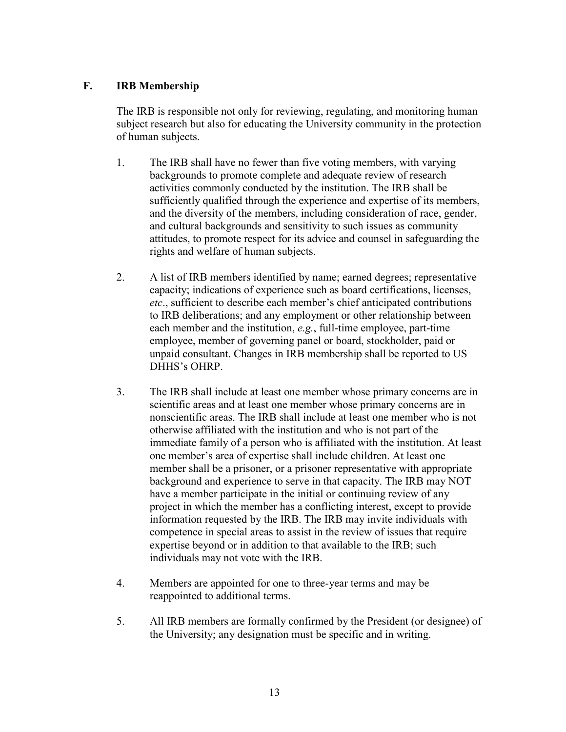### <span id="page-14-0"></span>**F. IRB Membership**

The IRB is responsible not only for reviewing, regulating, and monitoring human subject research but also for educating the University community in the protection of human subjects.

- 1. The IRB shall have no fewer than five voting members, with varying backgrounds to promote complete and adequate review of research activities commonly conducted by the institution. The IRB shall be sufficiently qualified through the experience and expertise of its members, and the diversity of the members, including consideration of race, gender, and cultural backgrounds and sensitivity to such issues as community attitudes, to promote respect for its advice and counsel in safeguarding the rights and welfare of human subjects.
- 2. A list of IRB members identified by name; earned degrees; representative capacity; indications of experience such as board certifications, licenses, *etc*., sufficient to describe each member's chief anticipated contributions to IRB deliberations; and any employment or other relationship between each member and the institution, *e.g.*, full-time employee, part-time employee, member of governing panel or board, stockholder, paid or unpaid consultant. Changes in IRB membership shall be reported to US DHHS's OHRP.
- 3. The IRB shall include at least one member whose primary concerns are in scientific areas and at least one member whose primary concerns are in nonscientific areas. The IRB shall include at least one member who is not otherwise affiliated with the institution and who is not part of the immediate family of a person who is affiliated with the institution. At least one member's area of expertise shall include children. At least one member shall be a prisoner, or a prisoner representative with appropriate background and experience to serve in that capacity. The IRB may NOT have a member participate in the initial or continuing review of any project in which the member has a conflicting interest, except to provide information requested by the IRB. The IRB may invite individuals with competence in special areas to assist in the review of issues that require expertise beyond or in addition to that available to the IRB; such individuals may not vote with the IRB.
- 4. Members are appointed for one to three-year terms and may be reappointed to additional terms.
- 5. All IRB members are formally confirmed by the President (or designee) of the University; any designation must be specific and in writing.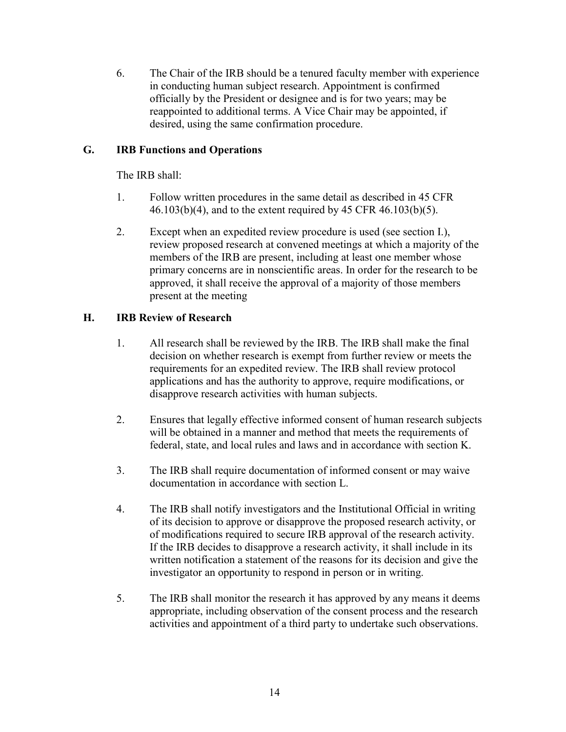6. The Chair of the IRB should be a tenured faculty member with experience in conducting human subject research. Appointment is confirmed officially by the President or designee and is for two years; may be reappointed to additional terms. A Vice Chair may be appointed, if desired, using the same confirmation procedure.

### <span id="page-15-0"></span>**G. IRB Functions and Operations**

The IRB shall:

- 1. Follow written procedures in the same detail as described in 45 CFR 46.103(b)(4), and to the extent required by 45 CFR 46.103(b)(5).
- 2. Except when an expedited review procedure is used (see section I.), review proposed research at convened meetings at which a majority of the members of the IRB are present, including at least one member whose primary concerns are in nonscientific areas. In order for the research to be approved, it shall receive the approval of a majority of those members present at the meeting

### <span id="page-15-1"></span>**H. IRB Review of Research**

- 1. All research shall be reviewed by the IRB. The IRB shall make the final decision on whether research is exempt from further review or meets the requirements for an expedited review. The IRB shall review protocol applications and has the authority to approve, require modifications, or disapprove research activities with human subjects.
- 2. Ensures that legally effective informed consent of human research subjects will be obtained in a manner and method that meets the requirements of federal, state, and local rules and laws and in accordance with section K.
- 3. The IRB shall require documentation of informed consent or may waive documentation in accordance with section L.
- 4. The IRB shall notify investigators and the Institutional Official in writing of its decision to approve or disapprove the proposed research activity, or of modifications required to secure IRB approval of the research activity. If the IRB decides to disapprove a research activity, it shall include in its written notification a statement of the reasons for its decision and give the investigator an opportunity to respond in person or in writing.
- 5. The IRB shall monitor the research it has approved by any means it deems appropriate, including observation of the consent process and the research activities and appointment of a third party to undertake such observations.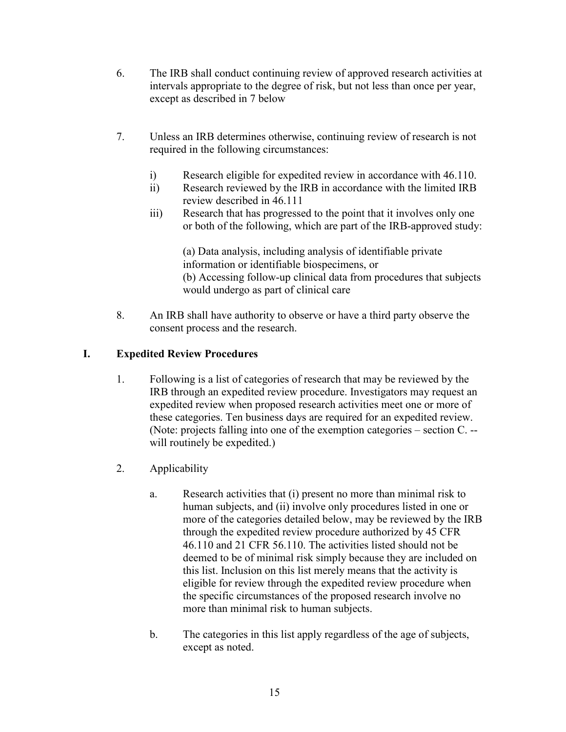- 6. The IRB shall conduct continuing review of approved research activities at intervals appropriate to the degree of risk, but not less than once per year, except as described in 7 below
- 7. Unless an IRB determines otherwise, continuing review of research is not required in the following circumstances:
	- i) Research eligible for expedited review in accordance with 46.110.
	- ii) Research reviewed by the IRB in accordance with the limited IRB review described in 46.111
	- iii) Research that has progressed to the point that it involves only one or both of the following, which are part of the IRB-approved study:

(a) Data analysis, including analysis of identifiable private information or identifiable biospecimens, or (b) Accessing follow-up clinical data from procedures that subjects would undergo as part of clinical care

8. An IRB shall have authority to observe or have a third party observe the consent process and the research.

# <span id="page-16-0"></span>**I. Expedited Review Procedures**

- 1. Following is a list of categories of research that may be reviewed by the IRB through an expedited review procedure. Investigators may request an expedited review when proposed research activities meet one or more of these categories. Ten business days are required for an expedited review. (Note: projects falling into one of the exemption categories – section C. - will routinely be expedited.)
- 2. Applicability
	- a. Research activities that (i) present no more than minimal risk to human subjects, and (ii) involve only procedures listed in one or more of the categories detailed below, may be reviewed by the IRB through the expedited review procedure authorized by 45 CFR 46.110 and 21 CFR 56.110. The activities listed should not be deemed to be of minimal risk simply because they are included on this list. Inclusion on this list merely means that the activity is eligible for review through the expedited review procedure when the specific circumstances of the proposed research involve no more than minimal risk to human subjects.
	- b. The categories in this list apply regardless of the age of subjects, except as noted.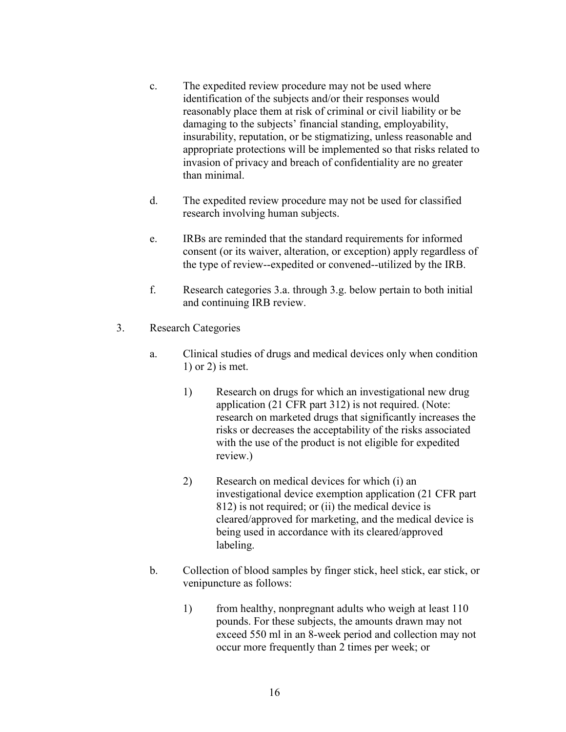- c. The expedited review procedure may not be used where identification of the subjects and/or their responses would reasonably place them at risk of criminal or civil liability or be damaging to the subjects' financial standing, employability, insurability, reputation, or be stigmatizing, unless reasonable and appropriate protections will be implemented so that risks related to invasion of privacy and breach of confidentiality are no greater than minimal.
- d. The expedited review procedure may not be used for classified research involving human subjects.
- e. IRBs are reminded that the standard requirements for informed consent (or its waiver, alteration, or exception) apply regardless of the type of review--expedited or convened--utilized by the IRB.
- f. Research categories 3.a. through 3.g. below pertain to both initial and continuing IRB review.
- 3. Research Categories
	- a. Clinical studies of drugs and medical devices only when condition 1) or 2) is met.
		- 1) Research on drugs for which an investigational new drug application (21 CFR part 312) is not required. (Note: research on marketed drugs that significantly increases the risks or decreases the acceptability of the risks associated with the use of the product is not eligible for expedited review.)
		- 2) Research on medical devices for which (i) an investigational device exemption application (21 CFR part 812) is not required; or (ii) the medical device is cleared/approved for marketing, and the medical device is being used in accordance with its cleared/approved labeling.
	- b. Collection of blood samples by finger stick, heel stick, ear stick, or venipuncture as follows:
		- 1) from healthy, nonpregnant adults who weigh at least 110 pounds. For these subjects, the amounts drawn may not exceed 550 ml in an 8-week period and collection may not occur more frequently than 2 times per week; or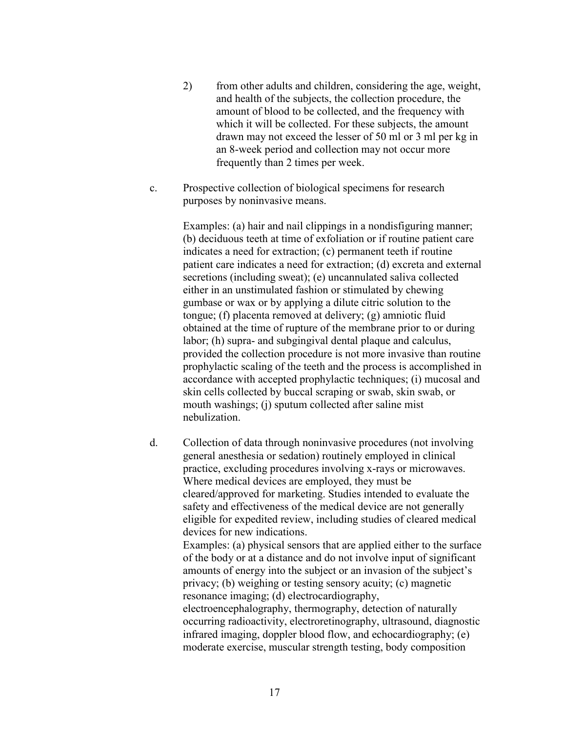- 2) from other adults and children, considering the age, weight, and health of the subjects, the collection procedure, the amount of blood to be collected, and the frequency with which it will be collected. For these subjects, the amount drawn may not exceed the lesser of 50 ml or 3 ml per kg in an 8-week period and collection may not occur more frequently than 2 times per week.
- c. Prospective collection of biological specimens for research purposes by noninvasive means.

Examples: (a) hair and nail clippings in a nondisfiguring manner; (b) deciduous teeth at time of exfoliation or if routine patient care indicates a need for extraction; (c) permanent teeth if routine patient care indicates a need for extraction; (d) excreta and external secretions (including sweat); (e) uncannulated saliva collected either in an unstimulated fashion or stimulated by chewing gumbase or wax or by applying a dilute citric solution to the tongue; (f) placenta removed at delivery; (g) amniotic fluid obtained at the time of rupture of the membrane prior to or during labor; (h) supra- and subgingival dental plaque and calculus, provided the collection procedure is not more invasive than routine prophylactic scaling of the teeth and the process is accomplished in accordance with accepted prophylactic techniques; (i) mucosal and skin cells collected by buccal scraping or swab, skin swab, or mouth washings; (j) sputum collected after saline mist nebulization.

d. Collection of data through noninvasive procedures (not involving general anesthesia or sedation) routinely employed in clinical practice, excluding procedures involving x-rays or microwaves. Where medical devices are employed, they must be cleared/approved for marketing. Studies intended to evaluate the safety and effectiveness of the medical device are not generally eligible for expedited review, including studies of cleared medical devices for new indications. Examples: (a) physical sensors that are applied either to the surface of the body or at a distance and do not involve input of significant amounts of energy into the subject or an invasion of the subject's

privacy; (b) weighing or testing sensory acuity; (c) magnetic resonance imaging; (d) electrocardiography,

electroencephalography, thermography, detection of naturally occurring radioactivity, electroretinography, ultrasound, diagnostic infrared imaging, doppler blood flow, and echocardiography; (e) moderate exercise, muscular strength testing, body composition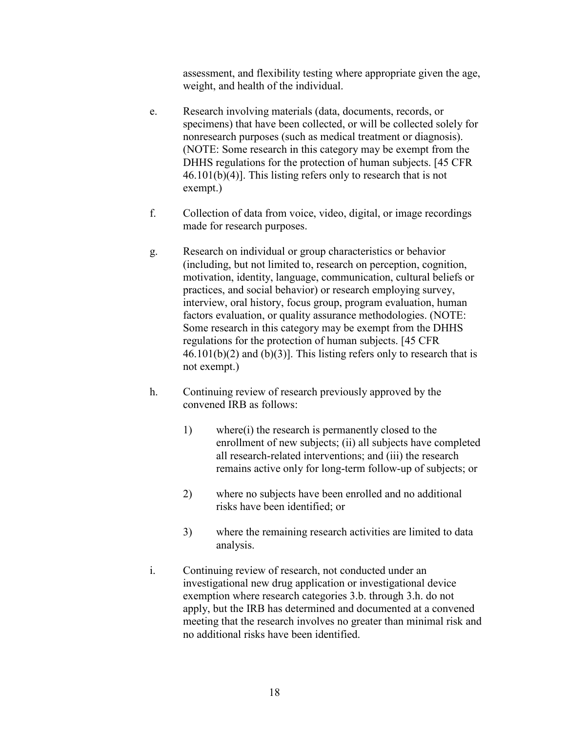assessment, and flexibility testing where appropriate given the age, weight, and health of the individual.

- e. Research involving materials (data, documents, records, or specimens) that have been collected, or will be collected solely for nonresearch purposes (such as medical treatment or diagnosis). (NOTE: Some research in this category may be exempt from the DHHS regulations for the protection of human subjects. [45 CFR 46.101(b)(4)]. This listing refers only to research that is not exempt.)
- f. Collection of data from voice, video, digital, or image recordings made for research purposes.
- g. Research on individual or group characteristics or behavior (including, but not limited to, research on perception, cognition, motivation, identity, language, communication, cultural beliefs or practices, and social behavior) or research employing survey, interview, oral history, focus group, program evaluation, human factors evaluation, or quality assurance methodologies. (NOTE: Some research in this category may be exempt from the DHHS regulations for the protection of human subjects. [45 CFR  $46.101(b)(2)$  and  $(b)(3)$ ]. This listing refers only to research that is not exempt.)
- h. Continuing review of research previously approved by the convened IRB as follows:
	- 1) where(i) the research is permanently closed to the enrollment of new subjects; (ii) all subjects have completed all research-related interventions; and (iii) the research remains active only for long-term follow-up of subjects; or
	- 2) where no subjects have been enrolled and no additional risks have been identified; or
	- 3) where the remaining research activities are limited to data analysis.
- i. Continuing review of research, not conducted under an investigational new drug application or investigational device exemption where research categories 3.b. through 3.h. do not apply, but the IRB has determined and documented at a convened meeting that the research involves no greater than minimal risk and no additional risks have been identified.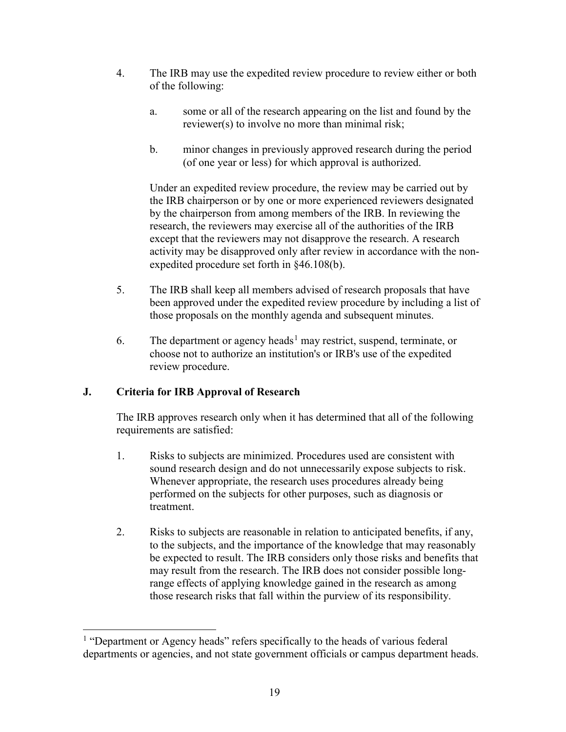- 4. The IRB may use the expedited review procedure to review either or both of the following:
	- a. some or all of the research appearing on the list and found by the reviewer(s) to involve no more than minimal risk;
	- b. minor changes in previously approved research during the period (of one year or less) for which approval is authorized.

Under an expedited review procedure, the review may be carried out by the IRB chairperson or by one or more experienced reviewers designated by the chairperson from among members of the IRB. In reviewing the research, the reviewers may exercise all of the authorities of the IRB except that the reviewers may not disapprove the research. A research activity may be disapproved only after review in accordance with the nonexpedited procedure set forth in §46.108(b).

- 5. The IRB shall keep all members advised of research proposals that have been approved under the expedited review procedure by including a list of those proposals on the monthly agenda and subsequent minutes.
- 6. The department or agency heads<sup>[1](#page-20-1)</sup> may restrict, suspend, terminate, or choose not to authorize an institution's or IRB's use of the expedited review procedure.

# <span id="page-20-0"></span>**J. Criteria for IRB Approval of Research**

The IRB approves research only when it has determined that all of the following requirements are satisfied:

- 1. Risks to subjects are minimized. Procedures used are consistent with sound research design and do not unnecessarily expose subjects to risk. Whenever appropriate, the research uses procedures already being performed on the subjects for other purposes, such as diagnosis or treatment.
- 2. Risks to subjects are reasonable in relation to anticipated benefits, if any, to the subjects, and the importance of the knowledge that may reasonably be expected to result. The IRB considers only those risks and benefits that may result from the research. The IRB does not consider possible longrange effects of applying knowledge gained in the research as among those research risks that fall within the purview of its responsibility.

<span id="page-20-1"></span><sup>&</sup>lt;sup>1</sup> "Department or Agency heads" refers specifically to the heads of various federal departments or agencies, and not state government officials or campus department heads.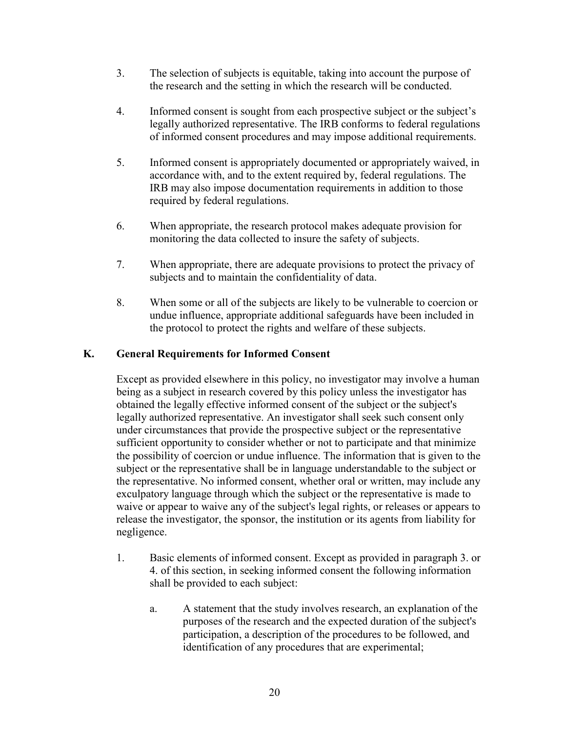- 3. The selection of subjects is equitable, taking into account the purpose of the research and the setting in which the research will be conducted.
- 4. Informed consent is sought from each prospective subject or the subject's legally authorized representative. The IRB conforms to federal regulations of informed consent procedures and may impose additional requirements.
- 5. Informed consent is appropriately documented or appropriately waived, in accordance with, and to the extent required by, federal regulations. The IRB may also impose documentation requirements in addition to those required by federal regulations.
- 6. When appropriate, the research protocol makes adequate provision for monitoring the data collected to insure the safety of subjects.
- 7. When appropriate, there are adequate provisions to protect the privacy of subjects and to maintain the confidentiality of data.
- 8. When some or all of the subjects are likely to be vulnerable to coercion or undue influence, appropriate additional safeguards have been included in the protocol to protect the rights and welfare of these subjects.

# <span id="page-21-0"></span>**K. General Requirements for Informed Consent**

Except as provided elsewhere in this policy, no investigator may involve a human being as a subject in research covered by this policy unless the investigator has obtained the legally effective informed consent of the subject or the subject's legally authorized representative. An investigator shall seek such consent only under circumstances that provide the prospective subject or the representative sufficient opportunity to consider whether or not to participate and that minimize the possibility of coercion or undue influence. The information that is given to the subject or the representative shall be in language understandable to the subject or the representative. No informed consent, whether oral or written, may include any exculpatory language through which the subject or the representative is made to waive or appear to waive any of the subject's legal rights, or releases or appears to release the investigator, the sponsor, the institution or its agents from liability for negligence.

- 1. Basic elements of informed consent. Except as provided in paragraph 3. or 4. of this section, in seeking informed consent the following information shall be provided to each subject:
	- a. A statement that the study involves research, an explanation of the purposes of the research and the expected duration of the subject's participation, a description of the procedures to be followed, and identification of any procedures that are experimental;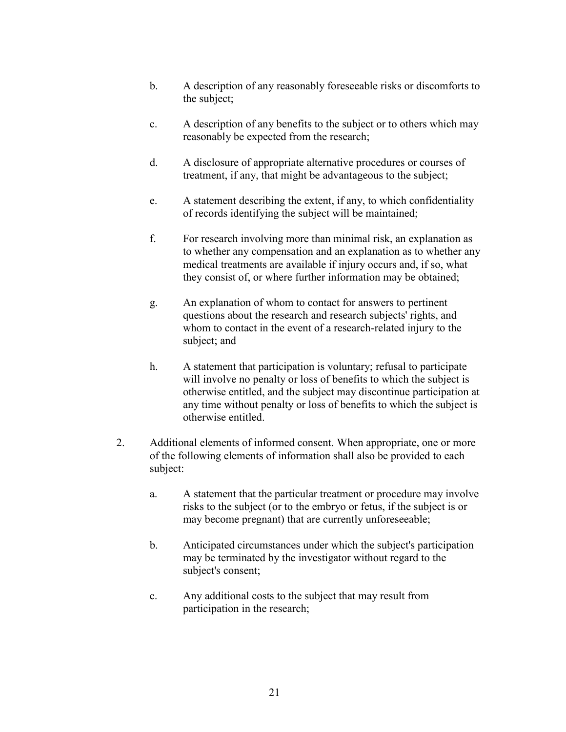- b. A description of any reasonably foreseeable risks or discomforts to the subject;
- c. A description of any benefits to the subject or to others which may reasonably be expected from the research;
- d. A disclosure of appropriate alternative procedures or courses of treatment, if any, that might be advantageous to the subject;
- e. A statement describing the extent, if any, to which confidentiality of records identifying the subject will be maintained;
- f. For research involving more than minimal risk, an explanation as to whether any compensation and an explanation as to whether any medical treatments are available if injury occurs and, if so, what they consist of, or where further information may be obtained;
- g. An explanation of whom to contact for answers to pertinent questions about the research and research subjects' rights, and whom to contact in the event of a research-related injury to the subject; and
- h. A statement that participation is voluntary; refusal to participate will involve no penalty or loss of benefits to which the subject is otherwise entitled, and the subject may discontinue participation at any time without penalty or loss of benefits to which the subject is otherwise entitled.
- 2. Additional elements of informed consent. When appropriate, one or more of the following elements of information shall also be provided to each subject:
	- a. A statement that the particular treatment or procedure may involve risks to the subject (or to the embryo or fetus, if the subject is or may become pregnant) that are currently unforeseeable;
	- b. Anticipated circumstances under which the subject's participation may be terminated by the investigator without regard to the subject's consent;
	- c. Any additional costs to the subject that may result from participation in the research;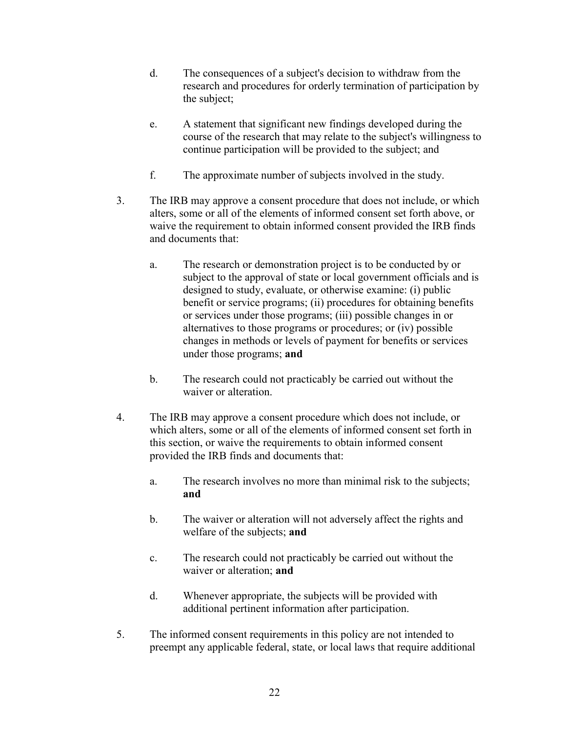- d. The consequences of a subject's decision to withdraw from the research and procedures for orderly termination of participation by the subject;
- e. A statement that significant new findings developed during the course of the research that may relate to the subject's willingness to continue participation will be provided to the subject; and
- f. The approximate number of subjects involved in the study.
- 3. The IRB may approve a consent procedure that does not include, or which alters, some or all of the elements of informed consent set forth above, or waive the requirement to obtain informed consent provided the IRB finds and documents that:
	- a. The research or demonstration project is to be conducted by or subject to the approval of state or local government officials and is designed to study, evaluate, or otherwise examine: (i) public benefit or service programs; (ii) procedures for obtaining benefits or services under those programs; (iii) possible changes in or alternatives to those programs or procedures; or (iv) possible changes in methods or levels of payment for benefits or services under those programs; **and**
	- b. The research could not practicably be carried out without the waiver or alteration.
- 4. The IRB may approve a consent procedure which does not include, or which alters, some or all of the elements of informed consent set forth in this section, or waive the requirements to obtain informed consent provided the IRB finds and documents that:
	- a. The research involves no more than minimal risk to the subjects; **and**
	- b. The waiver or alteration will not adversely affect the rights and welfare of the subjects; **and**
	- c. The research could not practicably be carried out without the waiver or alteration; **and**
	- d. Whenever appropriate, the subjects will be provided with additional pertinent information after participation.
- 5. The informed consent requirements in this policy are not intended to preempt any applicable federal, state, or local laws that require additional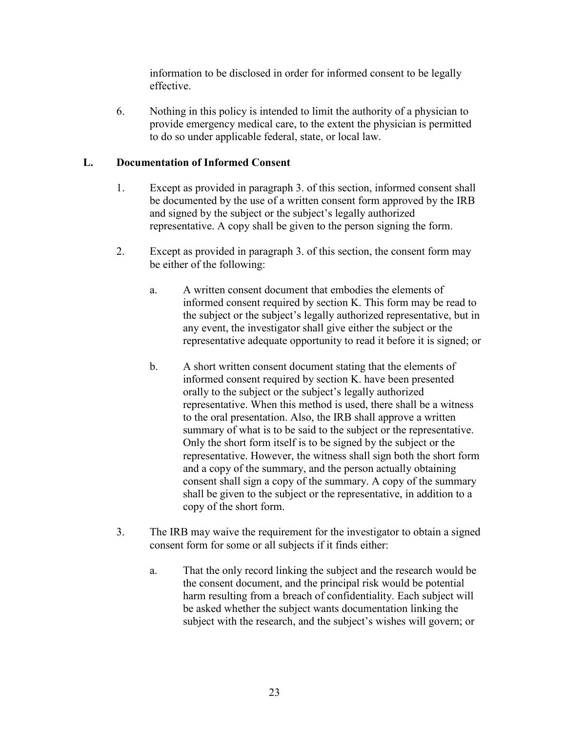information to be disclosed in order for informed consent to be legally effective.

6. Nothing in this policy is intended to limit the authority of a physician to provide emergency medical care, to the extent the physician is permitted to do so under applicable federal, state, or local law.

### <span id="page-24-0"></span>**L. Documentation of Informed Consent**

- 1. Except as provided in paragraph 3. of this section, informed consent shall be documented by the use of a written consent form approved by the IRB and signed by the subject or the subject's legally authorized representative. A copy shall be given to the person signing the form.
- 2. Except as provided in paragraph 3. of this section, the consent form may be either of the following:
	- a. A written consent document that embodies the elements of informed consent required by section K. This form may be read to the subject or the subject's legally authorized representative, but in any event, the investigator shall give either the subject or the representative adequate opportunity to read it before it is signed; or
	- b. A short written consent document stating that the elements of informed consent required by section K. have been presented orally to the subject or the subject's legally authorized representative. When this method is used, there shall be a witness to the oral presentation. Also, the IRB shall approve a written summary of what is to be said to the subject or the representative. Only the short form itself is to be signed by the subject or the representative. However, the witness shall sign both the short form and a copy of the summary, and the person actually obtaining consent shall sign a copy of the summary. A copy of the summary shall be given to the subject or the representative, in addition to a copy of the short form.
- 3. The IRB may waive the requirement for the investigator to obtain a signed consent form for some or all subjects if it finds either:
	- a. That the only record linking the subject and the research would be the consent document, and the principal risk would be potential harm resulting from a breach of confidentiality. Each subject will be asked whether the subject wants documentation linking the subject with the research, and the subject's wishes will govern; or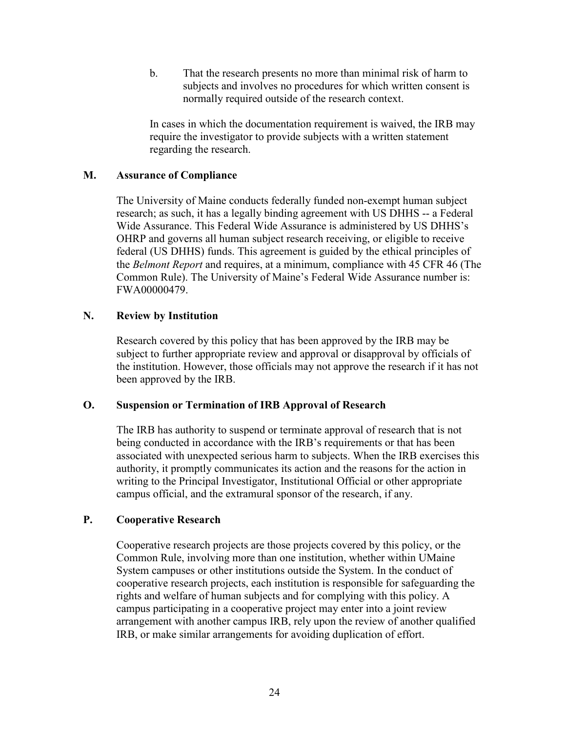b. That the research presents no more than minimal risk of harm to subjects and involves no procedures for which written consent is normally required outside of the research context.

In cases in which the documentation requirement is waived, the IRB may require the investigator to provide subjects with a written statement regarding the research.

#### <span id="page-25-0"></span>**M. Assurance of Compliance**

The University of Maine conducts federally funded non-exempt human subject research; as such, it has a legally binding agreement with US DHHS -- a Federal Wide Assurance. This Federal Wide Assurance is administered by US DHHS's OHRP and governs all human subject research receiving, or eligible to receive federal (US DHHS) funds. This agreement is guided by the ethical principles of the *Belmont Report* and requires, at a minimum, compliance with 45 CFR 46 (The Common Rule). The University of Maine's Federal Wide Assurance number is: FWA00000479.

#### <span id="page-25-1"></span>**N. Review by Institution**

Research covered by this policy that has been approved by the IRB may be subject to further appropriate review and approval or disapproval by officials of the institution. However, those officials may not approve the research if it has not been approved by the IRB.

#### <span id="page-25-2"></span>**O. Suspension or Termination of IRB Approval of Research**

The IRB has authority to suspend or terminate approval of research that is not being conducted in accordance with the IRB's requirements or that has been associated with unexpected serious harm to subjects. When the IRB exercises this authority, it promptly communicates its action and the reasons for the action in writing to the Principal Investigator, Institutional Official or other appropriate campus official, and the extramural sponsor of the research, if any.

### <span id="page-25-3"></span>**P. Cooperative Research**

Cooperative research projects are those projects covered by this policy, or the Common Rule, involving more than one institution, whether within UMaine System campuses or other institutions outside the System. In the conduct of cooperative research projects, each institution is responsible for safeguarding the rights and welfare of human subjects and for complying with this policy. A campus participating in a cooperative project may enter into a joint review arrangement with another campus IRB, rely upon the review of another qualified IRB, or make similar arrangements for avoiding duplication of effort.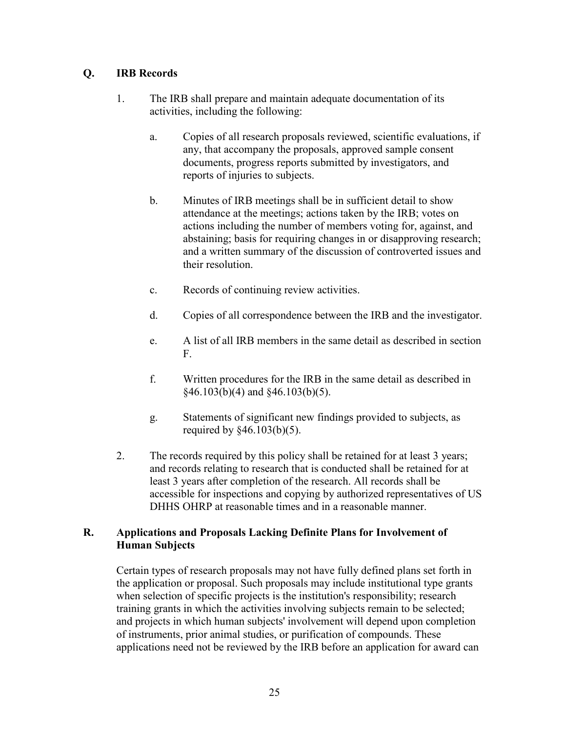# <span id="page-26-0"></span>**Q. IRB Records**

- 1. The IRB shall prepare and maintain adequate documentation of its activities, including the following:
	- a. Copies of all research proposals reviewed, scientific evaluations, if any, that accompany the proposals, approved sample consent documents, progress reports submitted by investigators, and reports of injuries to subjects.
	- b. Minutes of IRB meetings shall be in sufficient detail to show attendance at the meetings; actions taken by the IRB; votes on actions including the number of members voting for, against, and abstaining; basis for requiring changes in or disapproving research; and a written summary of the discussion of controverted issues and their resolution.
	- c. Records of continuing review activities.
	- d. Copies of all correspondence between the IRB and the investigator.
	- e. A list of all IRB members in the same detail as described in section F.
	- f. Written procedures for the IRB in the same detail as described in §46.103(b)(4) and §46.103(b)(5).
	- g. Statements of significant new findings provided to subjects, as required by §46.103(b)(5).
- 2. The records required by this policy shall be retained for at least 3 years; and records relating to research that is conducted shall be retained for at least 3 years after completion of the research. All records shall be accessible for inspections and copying by authorized representatives of US DHHS OHRP at reasonable times and in a reasonable manner.

### <span id="page-26-1"></span>**R. Applications and Proposals Lacking Definite Plans for Involvement of Human Subjects**

Certain types of research proposals may not have fully defined plans set forth in the application or proposal. Such proposals may include institutional type grants when selection of specific projects is the institution's responsibility; research training grants in which the activities involving subjects remain to be selected; and projects in which human subjects' involvement will depend upon completion of instruments, prior animal studies, or purification of compounds. These applications need not be reviewed by the IRB before an application for award can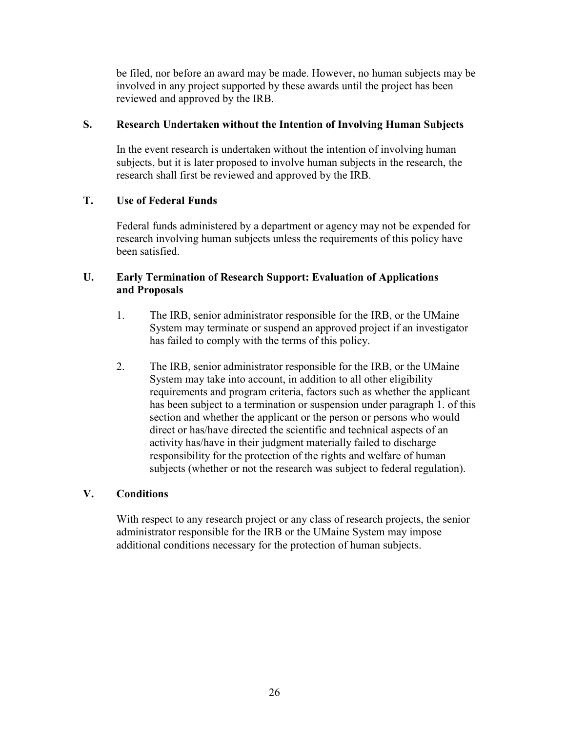be filed, nor before an award may be made. However, no human subjects may be involved in any project supported by these awards until the project has been reviewed and approved by the IRB.

#### <span id="page-27-0"></span>**S. Research Undertaken without the Intention of Involving Human Subjects**

In the event research is undertaken without the intention of involving human subjects, but it is later proposed to involve human subjects in the research, the research shall first be reviewed and approved by the IRB.

### <span id="page-27-1"></span>**T. Use of Federal Funds**

Federal funds administered by a department or agency may not be expended for research involving human subjects unless the requirements of this policy have been satisfied.

### <span id="page-27-2"></span>**U. Early Termination of Research Support: Evaluation of Applications and Proposals**

- 1. The IRB, senior administrator responsible for the IRB, or the UMaine System may terminate or suspend an approved project if an investigator has failed to comply with the terms of this policy.
- 2. The IRB, senior administrator responsible for the IRB, or the UMaine System may take into account, in addition to all other eligibility requirements and program criteria, factors such as whether the applicant has been subject to a termination or suspension under paragraph 1. of this section and whether the applicant or the person or persons who would direct or has/have directed the scientific and technical aspects of an activity has/have in their judgment materially failed to discharge responsibility for the protection of the rights and welfare of human subjects (whether or not the research was subject to federal regulation).

#### <span id="page-27-3"></span>**V. Conditions**

With respect to any research project or any class of research projects, the senior administrator responsible for the IRB or the UMaine System may impose additional conditions necessary for the protection of human subjects.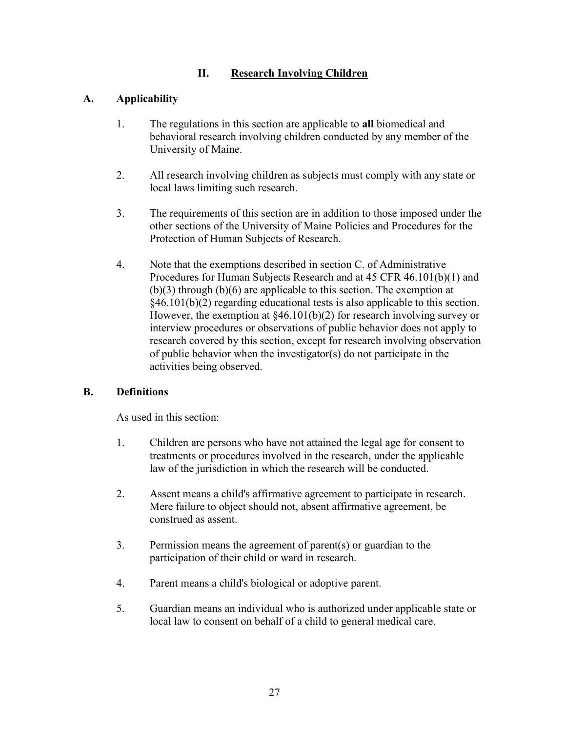# **II. Research Involving Children**

### <span id="page-28-1"></span><span id="page-28-0"></span>**A. Applicability**

- 1. The regulations in this section are applicable to **all** biomedical and behavioral research involving children conducted by any member of the University of Maine.
- 2. All research involving children as subjects must comply with any state or local laws limiting such research.
- 3. The requirements of this section are in addition to those imposed under the other sections of the University of Maine Policies and Procedures for the Protection of Human Subjects of Research.
- 4. Note that the exemptions described in section C. of Administrative Procedures for Human Subjects Research and at 45 CFR 46.101(b)(1) and (b)(3) through (b)(6) are applicable to this section. The exemption at §46.101(b)(2) regarding educational tests is also applicable to this section. However, the exemption at §46.101(b)(2) for research involving survey or interview procedures or observations of public behavior does not apply to research covered by this section, except for research involving observation of public behavior when the investigator(s) do not participate in the activities being observed.

### <span id="page-28-2"></span>**B. Definitions**

As used in this section:

- 1. Children are persons who have not attained the legal age for consent to treatments or procedures involved in the research, under the applicable law of the jurisdiction in which the research will be conducted.
- 2. Assent means a child's affirmative agreement to participate in research. Mere failure to object should not, absent affirmative agreement, be construed as assent.
- 3. Permission means the agreement of parent(s) or guardian to the participation of their child or ward in research.
- 4. Parent means a child's biological or adoptive parent.
- 5. Guardian means an individual who is authorized under applicable state or local law to consent on behalf of a child to general medical care.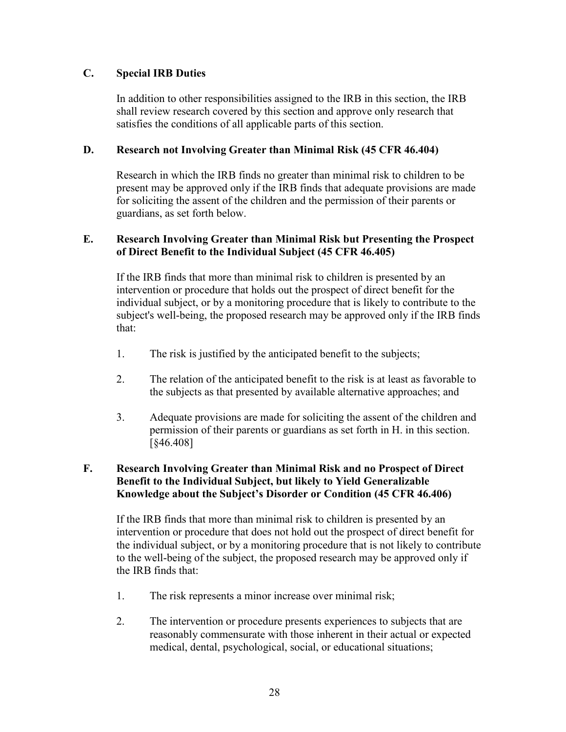### <span id="page-29-0"></span>**C. Special IRB Duties**

In addition to other responsibilities assigned to the IRB in this section, the IRB shall review research covered by this section and approve only research that satisfies the conditions of all applicable parts of this section.

#### <span id="page-29-1"></span>**D. Research not Involving Greater than Minimal Risk (45 CFR 46.404)**

Research in which the IRB finds no greater than minimal risk to children to be present may be approved only if the IRB finds that adequate provisions are made for soliciting the assent of the children and the permission of their parents or guardians, as set forth below.

#### <span id="page-29-2"></span>**E. Research Involving Greater than Minimal Risk but Presenting the Prospect of Direct Benefit to the Individual Subject (45 CFR 46.405)**

If the IRB finds that more than minimal risk to children is presented by an intervention or procedure that holds out the prospect of direct benefit for the individual subject, or by a monitoring procedure that is likely to contribute to the subject's well-being, the proposed research may be approved only if the IRB finds that:

- 1. The risk is justified by the anticipated benefit to the subjects;
- 2. The relation of the anticipated benefit to the risk is at least as favorable to the subjects as that presented by available alternative approaches; and
- 3. Adequate provisions are made for soliciting the assent of the children and permission of their parents or guardians as set forth in H. in this section. [§46.408]

### <span id="page-29-3"></span>**F. Research Involving Greater than Minimal Risk and no Prospect of Direct Benefit to the Individual Subject, but likely to Yield Generalizable Knowledge about the Subject's Disorder or Condition (45 CFR 46.406)**

If the IRB finds that more than minimal risk to children is presented by an intervention or procedure that does not hold out the prospect of direct benefit for the individual subject, or by a monitoring procedure that is not likely to contribute to the well-being of the subject, the proposed research may be approved only if the IRB finds that:

- 1. The risk represents a minor increase over minimal risk;
- 2. The intervention or procedure presents experiences to subjects that are reasonably commensurate with those inherent in their actual or expected medical, dental, psychological, social, or educational situations;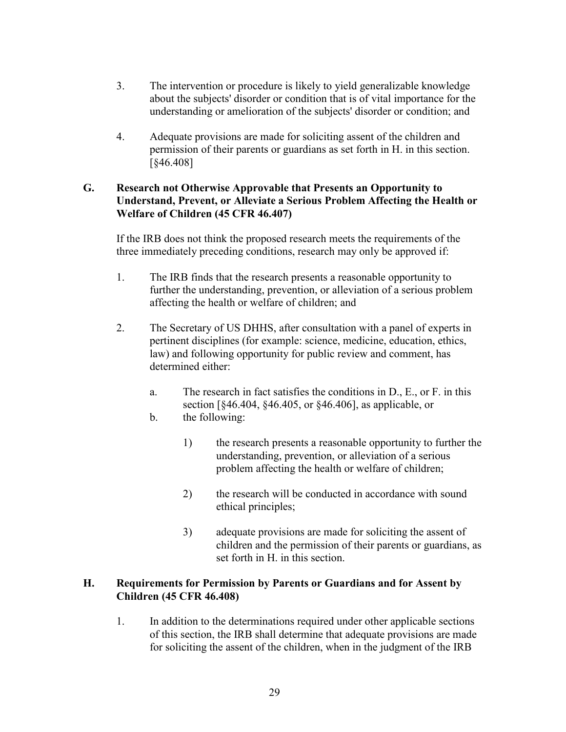- 3. The intervention or procedure is likely to yield generalizable knowledge about the subjects' disorder or condition that is of vital importance for the understanding or amelioration of the subjects' disorder or condition; and
- 4. Adequate provisions are made for soliciting assent of the children and permission of their parents or guardians as set forth in H. in this section. [§46.408]

#### <span id="page-30-0"></span>**G. Research not Otherwise Approvable that Presents an Opportunity to Understand, Prevent, or Alleviate a Serious Problem Affecting the Health or Welfare of Children (45 CFR 46.407)**

If the IRB does not think the proposed research meets the requirements of the three immediately preceding conditions, research may only be approved if:

- 1. The IRB finds that the research presents a reasonable opportunity to further the understanding, prevention, or alleviation of a serious problem affecting the health or welfare of children; and
- 2. The Secretary of US DHHS, after consultation with a panel of experts in pertinent disciplines (for example: science, medicine, education, ethics, law) and following opportunity for public review and comment, has determined either:
	- a. The research in fact satisfies the conditions in D., E., or F. in this section [§46.404, §46.405, or §46.406], as applicable, or
	- b. the following:
		- 1) the research presents a reasonable opportunity to further the understanding, prevention, or alleviation of a serious problem affecting the health or welfare of children;
		- 2) the research will be conducted in accordance with sound ethical principles;
		- 3) adequate provisions are made for soliciting the assent of children and the permission of their parents or guardians, as set forth in H. in this section.

#### <span id="page-30-1"></span>**H. Requirements for Permission by Parents or Guardians and for Assent by Children (45 CFR 46.408)**

1. In addition to the determinations required under other applicable sections of this section, the IRB shall determine that adequate provisions are made for soliciting the assent of the children, when in the judgment of the IRB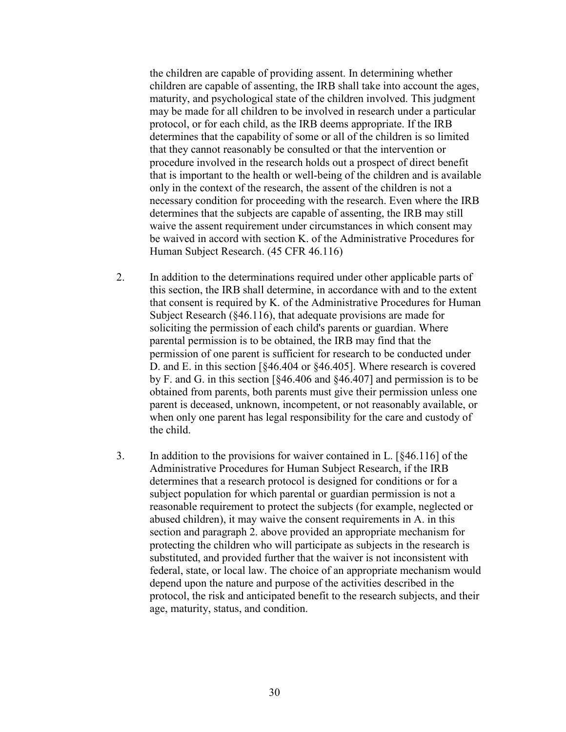the children are capable of providing assent. In determining whether children are capable of assenting, the IRB shall take into account the ages, maturity, and psychological state of the children involved. This judgment may be made for all children to be involved in research under a particular protocol, or for each child, as the IRB deems appropriate. If the IRB determines that the capability of some or all of the children is so limited that they cannot reasonably be consulted or that the intervention or procedure involved in the research holds out a prospect of direct benefit that is important to the health or well-being of the children and is available only in the context of the research, the assent of the children is not a necessary condition for proceeding with the research. Even where the IRB determines that the subjects are capable of assenting, the IRB may still waive the assent requirement under circumstances in which consent may be waived in accord with section K. of the Administrative Procedures for Human Subject Research. (45 CFR 46.116)

- 2. In addition to the determinations required under other applicable parts of this section, the IRB shall determine, in accordance with and to the extent that consent is required by K. of the Administrative Procedures for Human Subject Research (§46.116), that adequate provisions are made for soliciting the permission of each child's parents or guardian. Where parental permission is to be obtained, the IRB may find that the permission of one parent is sufficient for research to be conducted under D. and E. in this section [§46.404 or §46.405]. Where research is covered by F. and G. in this section [§46.406 and §46.407] and permission is to be obtained from parents, both parents must give their permission unless one parent is deceased, unknown, incompetent, or not reasonably available, or when only one parent has legal responsibility for the care and custody of the child.
- 3. In addition to the provisions for waiver contained in L. [§46.116] of the Administrative Procedures for Human Subject Research, if the IRB determines that a research protocol is designed for conditions or for a subject population for which parental or guardian permission is not a reasonable requirement to protect the subjects (for example, neglected or abused children), it may waive the consent requirements in A. in this section and paragraph 2. above provided an appropriate mechanism for protecting the children who will participate as subjects in the research is substituted, and provided further that the waiver is not inconsistent with federal, state, or local law. The choice of an appropriate mechanism would depend upon the nature and purpose of the activities described in the protocol, the risk and anticipated benefit to the research subjects, and their age, maturity, status, and condition.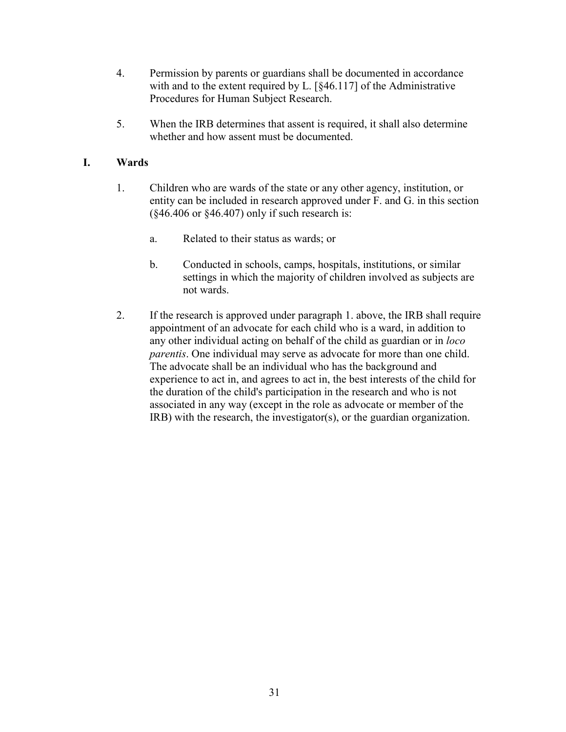- 4. Permission by parents or guardians shall be documented in accordance with and to the extent required by L. [§46.117] of the Administrative Procedures for Human Subject Research.
- 5. When the IRB determines that assent is required, it shall also determine whether and how assent must be documented.

#### <span id="page-32-0"></span>**I. Wards**

- 1. Children who are wards of the state or any other agency, institution, or entity can be included in research approved under F. and G. in this section (§46.406 or §46.407) only if such research is:
	- a. Related to their status as wards; or
	- b. Conducted in schools, camps, hospitals, institutions, or similar settings in which the majority of children involved as subjects are not wards.
- 2. If the research is approved under paragraph 1. above, the IRB shall require appointment of an advocate for each child who is a ward, in addition to any other individual acting on behalf of the child as guardian or in *loco parentis*. One individual may serve as advocate for more than one child. The advocate shall be an individual who has the background and experience to act in, and agrees to act in, the best interests of the child for the duration of the child's participation in the research and who is not associated in any way (except in the role as advocate or member of the IRB) with the research, the investigator(s), or the guardian organization.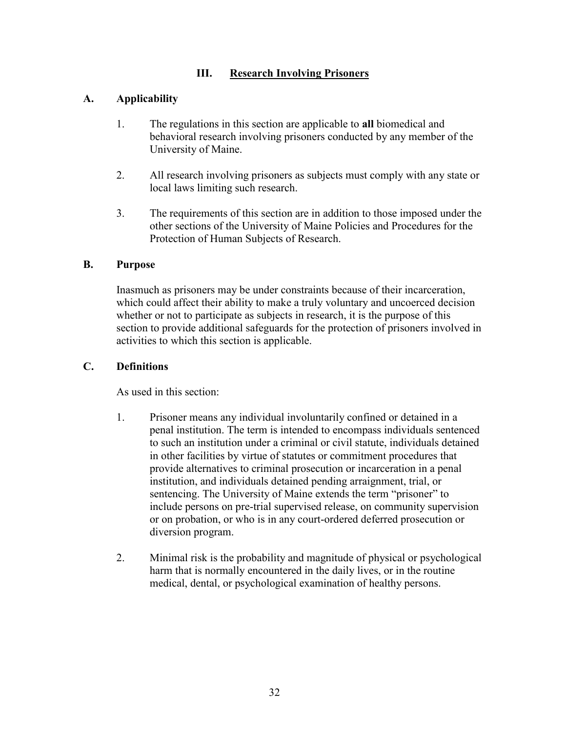### **III. Research Involving Prisoners**

### <span id="page-33-1"></span><span id="page-33-0"></span>**A. Applicability**

- 1. The regulations in this section are applicable to **all** biomedical and behavioral research involving prisoners conducted by any member of the University of Maine.
- 2. All research involving prisoners as subjects must comply with any state or local laws limiting such research.
- 3. The requirements of this section are in addition to those imposed under the other sections of the University of Maine Policies and Procedures for the Protection of Human Subjects of Research.

### <span id="page-33-2"></span>**B. Purpose**

Inasmuch as prisoners may be under constraints because of their incarceration, which could affect their ability to make a truly voluntary and uncoerced decision whether or not to participate as subjects in research, it is the purpose of this section to provide additional safeguards for the protection of prisoners involved in activities to which this section is applicable.

#### <span id="page-33-3"></span>**C. Definitions**

As used in this section:

- 1. Prisoner means any individual involuntarily confined or detained in a penal institution. The term is intended to encompass individuals sentenced to such an institution under a criminal or civil statute, individuals detained in other facilities by virtue of statutes or commitment procedures that provide alternatives to criminal prosecution or incarceration in a penal institution, and individuals detained pending arraignment, trial, or sentencing. The University of Maine extends the term "prisoner" to include persons on pre-trial supervised release, on community supervision or on probation, or who is in any court-ordered deferred prosecution or diversion program.
- 2. Minimal risk is the probability and magnitude of physical or psychological harm that is normally encountered in the daily lives, or in the routine medical, dental, or psychological examination of healthy persons.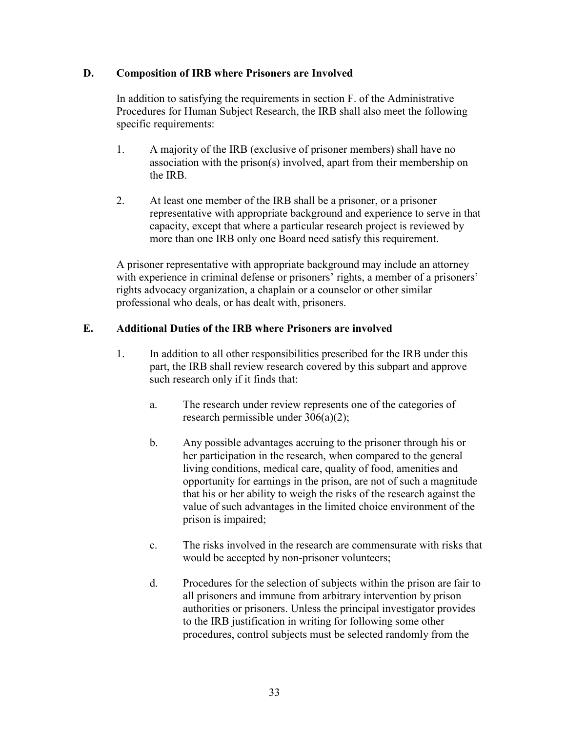#### <span id="page-34-0"></span>**D. Composition of IRB where Prisoners are Involved**

In addition to satisfying the requirements in section F. of the Administrative Procedures for Human Subject Research, the IRB shall also meet the following specific requirements:

- 1. A majority of the IRB (exclusive of prisoner members) shall have no association with the prison(s) involved, apart from their membership on the IRB.
- 2. At least one member of the IRB shall be a prisoner, or a prisoner representative with appropriate background and experience to serve in that capacity, except that where a particular research project is reviewed by more than one IRB only one Board need satisfy this requirement.

A prisoner representative with appropriate background may include an attorney with experience in criminal defense or prisoners' rights, a member of a prisoners' rights advocacy organization, a chaplain or a counselor or other similar professional who deals, or has dealt with, prisoners.

### <span id="page-34-1"></span>**E. Additional Duties of the IRB where Prisoners are involved**

- 1. In addition to all other responsibilities prescribed for the IRB under this part, the IRB shall review research covered by this subpart and approve such research only if it finds that:
	- a. The research under review represents one of the categories of research permissible under 306(a)(2);
	- b. Any possible advantages accruing to the prisoner through his or her participation in the research, when compared to the general living conditions, medical care, quality of food, amenities and opportunity for earnings in the prison, are not of such a magnitude that his or her ability to weigh the risks of the research against the value of such advantages in the limited choice environment of the prison is impaired;
	- c. The risks involved in the research are commensurate with risks that would be accepted by non-prisoner volunteers;
	- d. Procedures for the selection of subjects within the prison are fair to all prisoners and immune from arbitrary intervention by prison authorities or prisoners. Unless the principal investigator provides to the IRB justification in writing for following some other procedures, control subjects must be selected randomly from the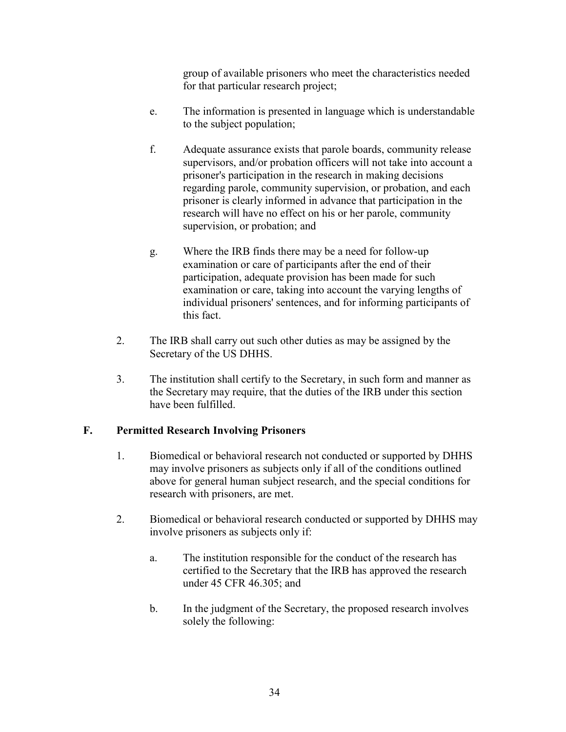group of available prisoners who meet the characteristics needed for that particular research project;

- e. The information is presented in language which is understandable to the subject population;
- f. Adequate assurance exists that parole boards, community release supervisors, and/or probation officers will not take into account a prisoner's participation in the research in making decisions regarding parole, community supervision, or probation, and each prisoner is clearly informed in advance that participation in the research will have no effect on his or her parole, community supervision, or probation; and
- g. Where the IRB finds there may be a need for follow-up examination or care of participants after the end of their participation, adequate provision has been made for such examination or care, taking into account the varying lengths of individual prisoners' sentences, and for informing participants of this fact.
- 2. The IRB shall carry out such other duties as may be assigned by the Secretary of the US DHHS.
- 3. The institution shall certify to the Secretary, in such form and manner as the Secretary may require, that the duties of the IRB under this section have been fulfilled.

### <span id="page-35-0"></span>**F. Permitted Research Involving Prisoners**

- 1. Biomedical or behavioral research not conducted or supported by DHHS may involve prisoners as subjects only if all of the conditions outlined above for general human subject research, and the special conditions for research with prisoners, are met.
- 2. Biomedical or behavioral research conducted or supported by DHHS may involve prisoners as subjects only if:
	- a. The institution responsible for the conduct of the research has certified to the Secretary that the IRB has approved the research under 45 CFR 46.305; and
	- b. In the judgment of the Secretary, the proposed research involves solely the following: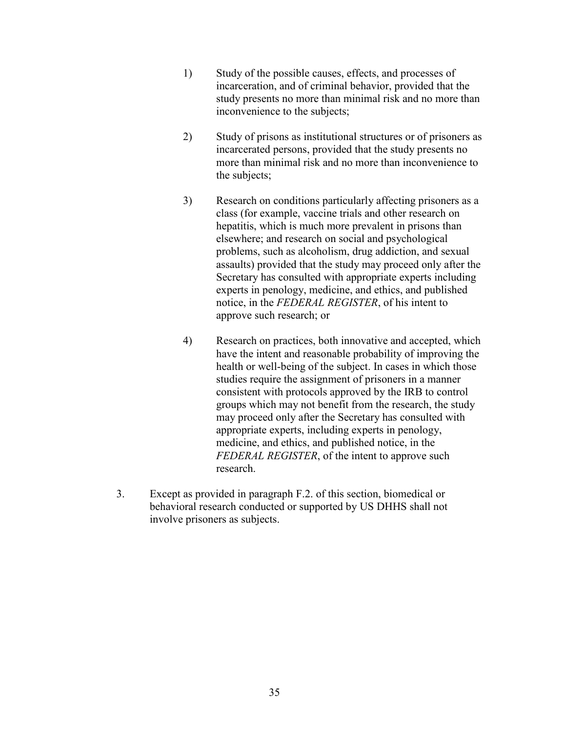- 1) Study of the possible causes, effects, and processes of incarceration, and of criminal behavior, provided that the study presents no more than minimal risk and no more than inconvenience to the subjects;
- 2) Study of prisons as institutional structures or of prisoners as incarcerated persons, provided that the study presents no more than minimal risk and no more than inconvenience to the subjects;
- 3) Research on conditions particularly affecting prisoners as a class (for example, vaccine trials and other research on hepatitis, which is much more prevalent in prisons than elsewhere; and research on social and psychological problems, such as alcoholism, drug addiction, and sexual assaults) provided that the study may proceed only after the Secretary has consulted with appropriate experts including experts in penology, medicine, and ethics, and published notice, in the *FEDERAL REGISTER*, of his intent to approve such research; or
- 4) Research on practices, both innovative and accepted, which have the intent and reasonable probability of improving the health or well-being of the subject. In cases in which those studies require the assignment of prisoners in a manner consistent with protocols approved by the IRB to control groups which may not benefit from the research, the study may proceed only after the Secretary has consulted with appropriate experts, including experts in penology, medicine, and ethics, and published notice, in the *FEDERAL REGISTER*, of the intent to approve such research.
- 3. Except as provided in paragraph F.2. of this section, biomedical or behavioral research conducted or supported by US DHHS shall not involve prisoners as subjects.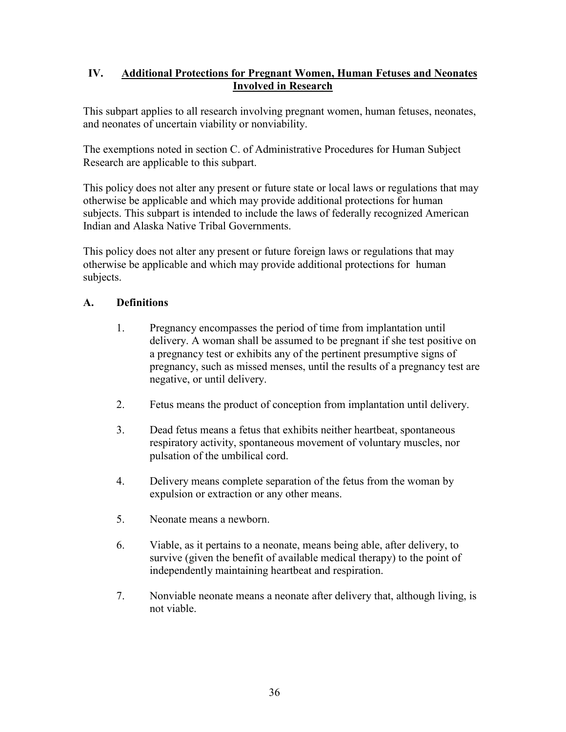# <span id="page-37-0"></span>**IV. Additional Protections for Pregnant Women, Human Fetuses and Neonates Involved in Research**

This subpart applies to all research involving pregnant women, human fetuses, neonates, and neonates of uncertain viability or nonviability.

The exemptions noted in section C. of Administrative Procedures for Human Subject Research are applicable to this subpart.

This policy does not alter any present or future state or local laws or regulations that may otherwise be applicable and which may provide additional protections for human subjects. This subpart is intended to include the laws of federally recognized American Indian and Alaska Native Tribal Governments.

This policy does not alter any present or future foreign laws or regulations that may otherwise be applicable and which may provide additional protections for human subjects.

# <span id="page-37-1"></span>**A. Definitions**

- 1. Pregnancy encompasses the period of time from implantation until delivery. A woman shall be assumed to be pregnant if she test positive on a pregnancy test or exhibits any of the pertinent presumptive signs of pregnancy, such as missed menses, until the results of a pregnancy test are negative, or until delivery.
- 2. Fetus means the product of conception from implantation until delivery.
- 3. Dead fetus means a fetus that exhibits neither heartbeat, spontaneous respiratory activity, spontaneous movement of voluntary muscles, nor pulsation of the umbilical cord.
- 4. Delivery means complete separation of the fetus from the woman by expulsion or extraction or any other means.
- 5. Neonate means a newborn.
- 6. Viable, as it pertains to a neonate, means being able, after delivery, to survive (given the benefit of available medical therapy) to the point of independently maintaining heartbeat and respiration.
- 7. Nonviable neonate means a neonate after delivery that, although living, is not viable.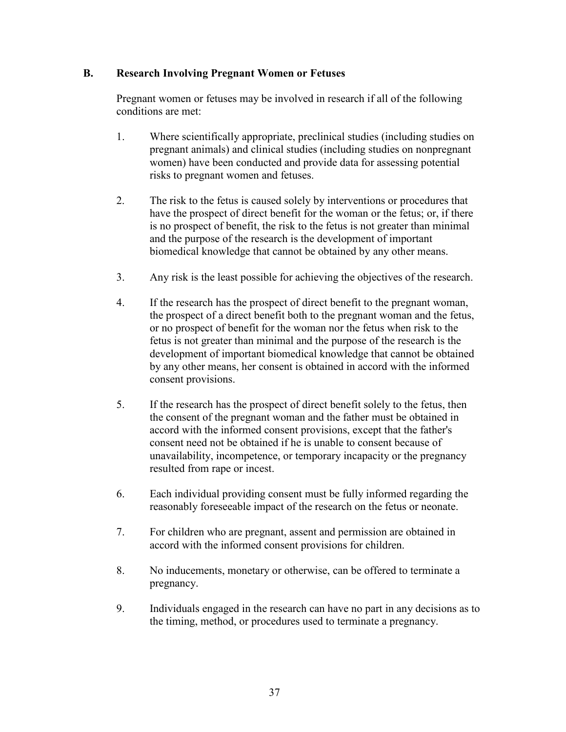#### <span id="page-38-0"></span>**B. Research Involving Pregnant Women or Fetuses**

Pregnant women or fetuses may be involved in research if all of the following conditions are met:

- 1. Where scientifically appropriate, preclinical studies (including studies on pregnant animals) and clinical studies (including studies on nonpregnant women) have been conducted and provide data for assessing potential risks to pregnant women and fetuses.
- 2. The risk to the fetus is caused solely by interventions or procedures that have the prospect of direct benefit for the woman or the fetus; or, if there is no prospect of benefit, the risk to the fetus is not greater than minimal and the purpose of the research is the development of important biomedical knowledge that cannot be obtained by any other means.
- 3. Any risk is the least possible for achieving the objectives of the research.
- 4. If the research has the prospect of direct benefit to the pregnant woman, the prospect of a direct benefit both to the pregnant woman and the fetus, or no prospect of benefit for the woman nor the fetus when risk to the fetus is not greater than minimal and the purpose of the research is the development of important biomedical knowledge that cannot be obtained by any other means, her consent is obtained in accord with the informed consent provisions.
- 5. If the research has the prospect of direct benefit solely to the fetus, then the consent of the pregnant woman and the father must be obtained in accord with the informed consent provisions, except that the father's consent need not be obtained if he is unable to consent because of unavailability, incompetence, or temporary incapacity or the pregnancy resulted from rape or incest.
- 6. Each individual providing consent must be fully informed regarding the reasonably foreseeable impact of the research on the fetus or neonate.
- 7. For children who are pregnant, assent and permission are obtained in accord with the informed consent provisions for children.
- 8. No inducements, monetary or otherwise, can be offered to terminate a pregnancy.
- 9. Individuals engaged in the research can have no part in any decisions as to the timing, method, or procedures used to terminate a pregnancy.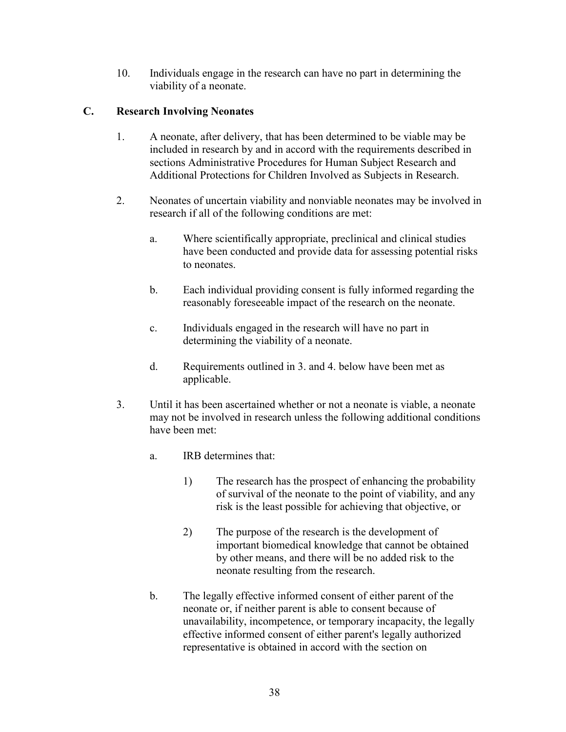10. Individuals engage in the research can have no part in determining the viability of a neonate.

# <span id="page-39-0"></span>**C. Research Involving Neonates**

- 1. A neonate, after delivery, that has been determined to be viable may be included in research by and in accord with the requirements described in sections Administrative Procedures for Human Subject Research and Additional Protections for Children Involved as Subjects in Research.
- 2. Neonates of uncertain viability and nonviable neonates may be involved in research if all of the following conditions are met:
	- a. Where scientifically appropriate, preclinical and clinical studies have been conducted and provide data for assessing potential risks to neonates.
	- b. Each individual providing consent is fully informed regarding the reasonably foreseeable impact of the research on the neonate.
	- c. Individuals engaged in the research will have no part in determining the viability of a neonate.
	- d. Requirements outlined in 3. and 4. below have been met as applicable.
- 3. Until it has been ascertained whether or not a neonate is viable, a neonate may not be involved in research unless the following additional conditions have been met:
	- a. IRB determines that:
		- 1) The research has the prospect of enhancing the probability of survival of the neonate to the point of viability, and any risk is the least possible for achieving that objective, or
		- 2) The purpose of the research is the development of important biomedical knowledge that cannot be obtained by other means, and there will be no added risk to the neonate resulting from the research.
	- b. The legally effective informed consent of either parent of the neonate or, if neither parent is able to consent because of unavailability, incompetence, or temporary incapacity, the legally effective informed consent of either parent's legally authorized representative is obtained in accord with the section on